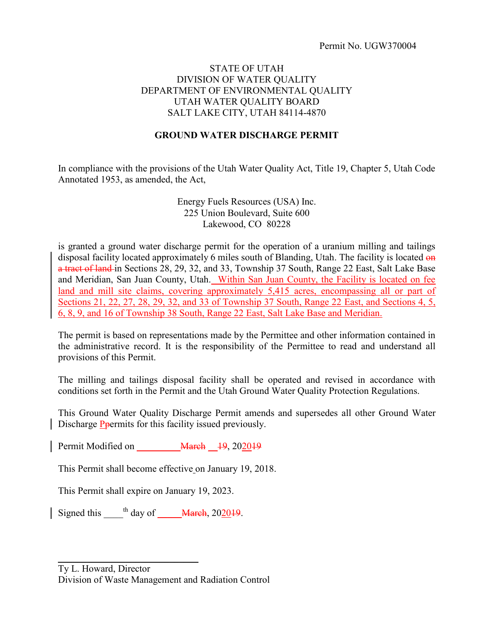#### STATE OF UTAH DIVISION OF WATER QUALITY DEPARTMENT OF ENVIRONMENTAL QUALITY UTAH WATER QUALITY BOARD SALT LAKE CITY, UTAH 84114-4870

### **GROUND WATER DISCHARGE PERMIT**

In compliance with the provisions of the Utah Water Quality Act, Title 19, Chapter 5, Utah Code Annotated 1953, as amended, the Act,

> Energy Fuels Resources (USA) Inc. 225 Union Boulevard, Suite 600 Lakewood, CO 80228

is granted a ground water discharge permit for the operation of a uranium milling and tailings disposal facility located approximately 6 miles south of Blanding, Utah. The facility is located on a tract of land in Sections 28, 29, 32, and 33, Township 37 South, Range 22 East, Salt Lake Base and Meridian, San Juan County, Utah. Within San Juan County, the Facility is located on fee land and mill site claims, covering approximately 5,415 acres, encompassing all or part of Sections 21, 22, 27, 28, 29, 32, and 33 of Township 37 South, Range 22 East, and Sections 4, 5, 6, 8, 9, and 16 of Township 38 South, Range 22 East, Salt Lake Base and Meridian.

The permit is based on representations made by the Permittee and other information contained in the administrative record. It is the responsibility of the Permittee to read and understand all provisions of this Permit.

The milling and tailings disposal facility shall be operated and revised in accordance with conditions set forth in the Permit and the Utah Ground Water Quality Protection Regulations.

This Ground Water Quality Discharge Permit amends and supersedes all other Ground Water Discharge P<del>p</del>ermits for this facility issued previously.

Permit Modified on **March** 19, 202019

This Permit shall become effective on January 19, 2018.

This Permit shall expire on January 19, 2023.

 $\mathcal{L}=\{1,2,3,4,5\}$ 

Signed this  $\frac{h}{\text{day of}}$   $\frac{Mareh}{202019}$ .

Ty L. Howard, Director Division of Waste Management and Radiation Control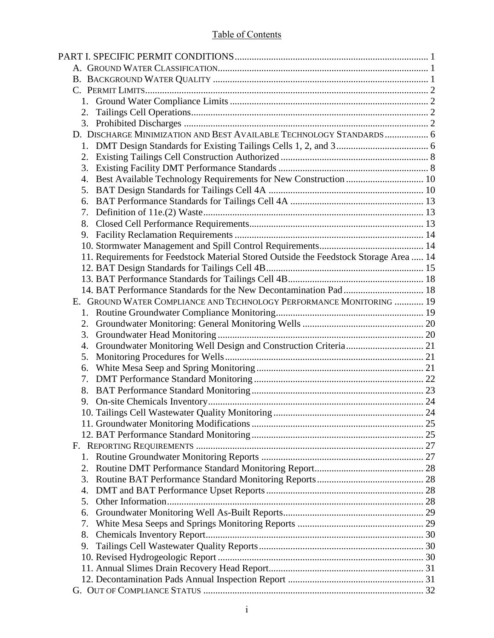# Table of Contents

| 2.                                                                                    |  |
|---------------------------------------------------------------------------------------|--|
|                                                                                       |  |
| D. DISCHARGE MINIMIZATION AND BEST AVAILABLE TECHNOLOGY STANDARDS  6                  |  |
|                                                                                       |  |
|                                                                                       |  |
| 3.                                                                                    |  |
| Best Available Technology Requirements for New Construction  10<br>4.                 |  |
| 5.                                                                                    |  |
| 6.                                                                                    |  |
| 7.                                                                                    |  |
| 8.                                                                                    |  |
| 9.                                                                                    |  |
|                                                                                       |  |
| 11. Requirements for Feedstock Material Stored Outside the Feedstock Storage Area  14 |  |
|                                                                                       |  |
|                                                                                       |  |
|                                                                                       |  |
| E. GROUND WATER COMPLIANCE AND TECHNOLOGY PERFORMANCE MONITORING  19                  |  |
|                                                                                       |  |
| 2.                                                                                    |  |
| 3.                                                                                    |  |
| 4.                                                                                    |  |
| 5.                                                                                    |  |
| 6.                                                                                    |  |
| 7.                                                                                    |  |
| 8.                                                                                    |  |
| 9.                                                                                    |  |
|                                                                                       |  |
|                                                                                       |  |
|                                                                                       |  |
|                                                                                       |  |
|                                                                                       |  |
| 2.                                                                                    |  |
| 3.                                                                                    |  |
| 4.                                                                                    |  |
| 5.                                                                                    |  |
| 6.                                                                                    |  |
| 7.                                                                                    |  |
| 8.                                                                                    |  |
| 9.                                                                                    |  |
|                                                                                       |  |
|                                                                                       |  |
|                                                                                       |  |
|                                                                                       |  |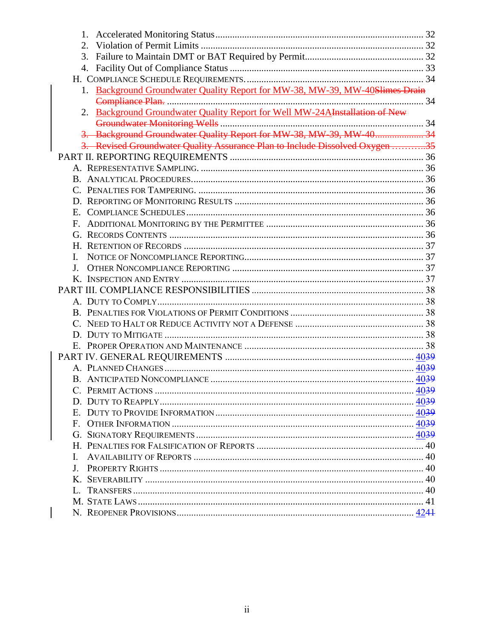| 2.                                                                             |  |
|--------------------------------------------------------------------------------|--|
| 3.                                                                             |  |
| 4.                                                                             |  |
|                                                                                |  |
| Background Groundwater Quality Report for MW-38, MW-39, MW-40Slimes Drain      |  |
|                                                                                |  |
| Background Groundwater Quality Report for Well MW-24AInstallation of New<br>2. |  |
|                                                                                |  |
| 3. Background Groundwater Quality Report for MW 38, MW 39, MW 40 34            |  |
| 3. Revised Groundwater Quality Assurance Plan to Include Dissolved Oxygen 35   |  |
|                                                                                |  |
|                                                                                |  |
|                                                                                |  |
|                                                                                |  |
|                                                                                |  |
| Ε.                                                                             |  |
| F.                                                                             |  |
|                                                                                |  |
|                                                                                |  |
| I.                                                                             |  |
| J <sub>z</sub>                                                                 |  |
|                                                                                |  |
|                                                                                |  |
|                                                                                |  |
|                                                                                |  |
|                                                                                |  |
|                                                                                |  |
|                                                                                |  |
|                                                                                |  |
|                                                                                |  |
|                                                                                |  |
|                                                                                |  |
|                                                                                |  |
|                                                                                |  |
|                                                                                |  |
|                                                                                |  |
|                                                                                |  |
| L.                                                                             |  |
|                                                                                |  |
|                                                                                |  |
|                                                                                |  |
|                                                                                |  |
|                                                                                |  |
|                                                                                |  |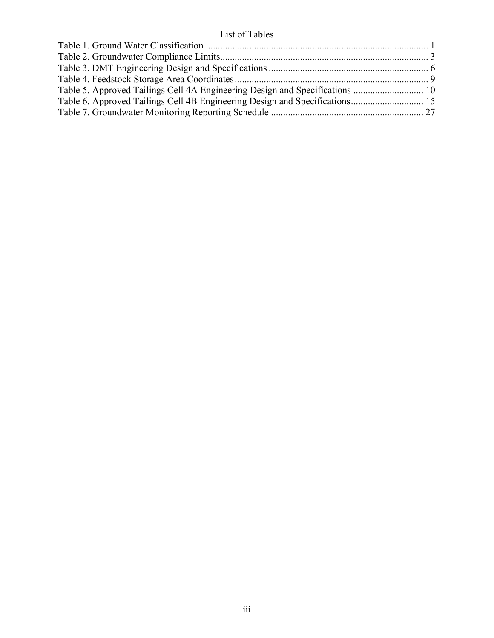# List of Tables

| Table 5. Approved Tailings Cell 4A Engineering Design and Specifications  10 |  |
|------------------------------------------------------------------------------|--|
|                                                                              |  |
|                                                                              |  |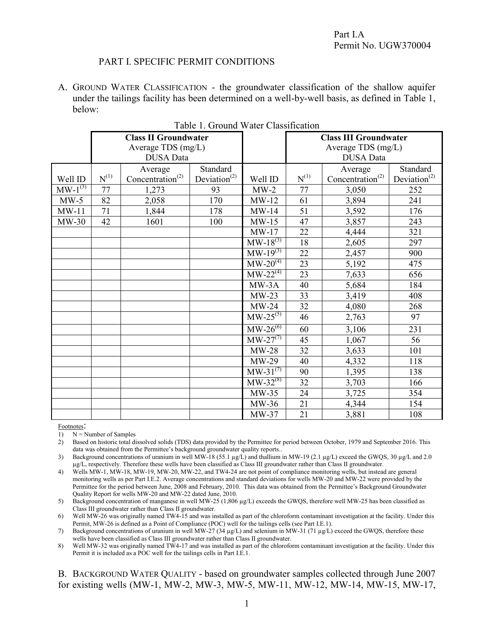#### PART I. SPECIFIC PERMIT CONDITIONS

A. GROUND WATER CLASSIFICATION - the groundwater classification of the shallow aquifer under the tailings facility has been determined on a well-by-well basis, as defined in Table 1, below:

|              |           |                              | raole 1. Ground water Chassification  |                                 |                              |                       |                                       |  |
|--------------|-----------|------------------------------|---------------------------------------|---------------------------------|------------------------------|-----------------------|---------------------------------------|--|
|              |           | <b>Class II Groundwater</b>  |                                       |                                 | <b>Class III Groundwater</b> |                       |                                       |  |
|              |           | Average TDS (mg/L)           |                                       |                                 |                              | Average TDS (mg/L)    |                                       |  |
|              |           | <b>DUSA</b> Data             |                                       |                                 |                              |                       |                                       |  |
|              |           | Average                      | Standard                              |                                 |                              | Average               | Standard                              |  |
| Well ID      | $N^{(1)}$ | Concentration <sup>(2)</sup> | Deviation <sup><math>(2)</math></sup> | Well ID                         | $N^{(1)}$                    | $Concentration^{(2)}$ | Deviation <sup><math>(2)</math></sup> |  |
| $MW-1^{(3)}$ | 77        | 1,273                        | 93                                    | $MW-2$                          | 77                           | 3,050                 | 252                                   |  |
| $MW-5$       | 82        | 2,058                        | 170                                   | $MW-12$                         | 61                           | 3,894                 | 241                                   |  |
| $MW-11$      | 71        | 1,844                        | 178                                   | $MW-14$                         | 51                           | 3,592                 | 176                                   |  |
| $MW-30$      | 42        | 1601                         | 100                                   | $MW-15$                         | 47                           | 3,857                 | 243                                   |  |
|              |           |                              |                                       | $MW-17$                         | 22                           | 4,444                 | 321                                   |  |
|              |           |                              |                                       | $MW-18^{(3)}$                   | 18                           | 2,605                 | 297                                   |  |
|              |           |                              |                                       | $\overline{MW-19^{(3)}}$        | 22                           | 2,457                 | 900                                   |  |
|              |           |                              |                                       | $MW-20^{(4)}$                   | 23                           | 5,192                 | 475                                   |  |
|              |           |                              |                                       | $\overline{\text{MW-22}}^{(4)}$ | 23                           | 7,633                 | 656                                   |  |
|              |           |                              |                                       | MW-3A                           | 40                           | 5,684                 | 184                                   |  |
|              |           |                              |                                       | $MW-23$                         | 33                           | 3,419                 | 408                                   |  |
|              |           |                              |                                       | $MW-24$                         | 32                           | 4,080                 | 268                                   |  |
|              |           |                              |                                       | $MW-25^{(5)}$                   | 46                           | 2,763                 | 97                                    |  |
|              |           |                              |                                       | $\text{MW-26}^{(6)}$            | 60                           | 3,106                 | 231                                   |  |
|              |           |                              |                                       | $\text{MW-27}^{(7)}$            | 45                           | 1,067                 | 56                                    |  |
|              |           |                              |                                       | $MW-28$                         | 32                           | 3,633                 | 101                                   |  |
|              |           |                              |                                       | $MW-29$                         | 40                           | 4,332                 | 118                                   |  |
|              |           |                              |                                       | $MW-31^{(7)}$                   | 90                           | 1,395                 | 138                                   |  |
|              |           |                              |                                       | $MW-32^{(8)}$                   | 32                           | 3,703                 | 166                                   |  |
|              |           |                              |                                       | $MW-35$                         | 24                           | 3,725                 | 354                                   |  |
|              |           |                              |                                       | MW-36                           | 21                           | 4,344                 | 154                                   |  |
|              |           |                              |                                       | $MW-37$                         | 21                           | 3,881                 | 108                                   |  |

<span id="page-4-2"></span><span id="page-4-1"></span><span id="page-4-0"></span>Table 1. Ground Water Classification

Footnotes:

1)  $N =$  Number of Samples

- 2) Based on historic total dissolved solids (TDS) data provided by the Permittee for period between October, 1979 and September 2016. This data was obtained from the Permittee's background groundwater quality reports..
- 3) Background concentrations of uranium in well MW-18 (55.1 µg/L) and thallium in MW-19 (2.1 µg/L) exceed the GWQS, 30 µg/L and 2.0 µg/L, respectively. Therefore these wells have been classified as Class III groundwater rather than Class II groundwater.
- 4) Wells MW-1, MW-18, MW-19, MW-20, MW-22, and TW4-24 are not point of compliance monitoring wells, but instead are general monitoring wells as per Part I.E.2. Average concentrations and standard deviations for wells MW-20 and MW-22 were provided by the Permittee for the period between June, 2008 and February, 2010. This data was obtained from the Permittee's Background Groundwater Quality Report for wells MW-20 and MW-22 dated June, 2010.

5) Background concentration of manganese in well MW-25 (1,806 µg/L) exceeds the GWQS, therefore well MW-25 has been classified as Class III groundwater rather than Class II groundwater.

6) Well MW-26 was originally named TW4-15 and was installed as part of the chloroform contaminant investigation at the facility. Under this Permit, MW-26 is defined as a Point of Compliance (POC) well for the tailings cells (see Part I.E.1).

7) Background concentrations of uranium in well MW-27 (34 µg/L) and selenium in MW-31 (71 µg/L) exceed the GWQS, therefore these wells have been classified as Class III groundwater rather than Class II groundwater.

8) Well MW-32 was originally named TW4-17 and was installed as part of the chloroform contaminant investigation at the facility. Under this Permit it is included as a POC well for the tailings cells in Part I.E.1.

B. BACKGROUND WATER QUALITY - based on groundwater samples collected through June 2007 for existing wells (MW-1, MW-2, MW-3, MW-5, MW-11, MW-12, MW-14, MW-15, MW-17,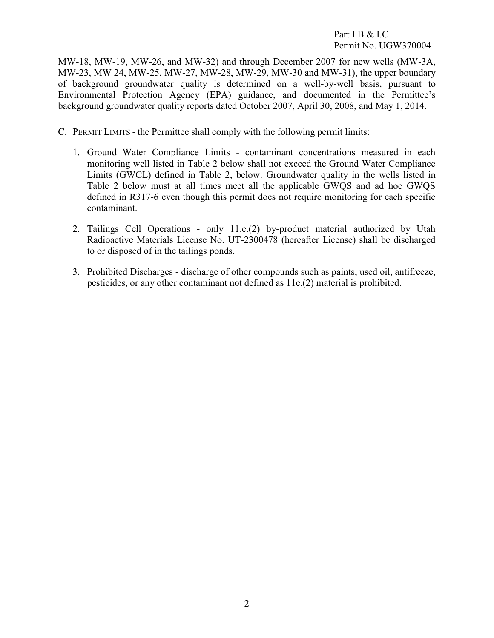#### <span id="page-5-1"></span>Part I.B & I.C Permit No. UGW370004

MW-18, MW-19, MW-26, and MW-32) and through December 2007 for new wells (MW-3A, MW-23, MW 24, MW-25, MW-27, MW-28, MW-29, MW-30 and MW-31), the upper boundary of background groundwater quality is determined on a well-by-well basis, pursuant to Environmental Protection Agency (EPA) guidance, and documented in the Permittee's background groundwater quality reports dated October 2007, April 30, 2008, and May 1, 2014.

- <span id="page-5-3"></span><span id="page-5-2"></span><span id="page-5-0"></span>C. PERMIT LIMITS - the Permittee shall comply with the following permit limits:
	- 1. Ground Water Compliance Limits contaminant concentrations measured in each monitoring well listed in Table 2 below shall not exceed the Ground Water Compliance Limits (GWCL) defined in Table 2, below. Groundwater quality in the wells listed in Table 2 below must at all times meet all the applicable GWQS and ad hoc GWQS defined in R317-6 even though this permit does not require monitoring for each specific contaminant.
	- 2. Tailings Cell Operations only 11.e.(2) by-product material authorized by Utah Radioactive Materials License No. UT-2300478 (hereafter License) shall be discharged to or disposed of in the tailings ponds.
	- 3. Prohibited Discharges discharge of other compounds such as paints, used oil, antifreeze, pesticides, or any other contaminant not defined as 11e.(2) material is prohibited.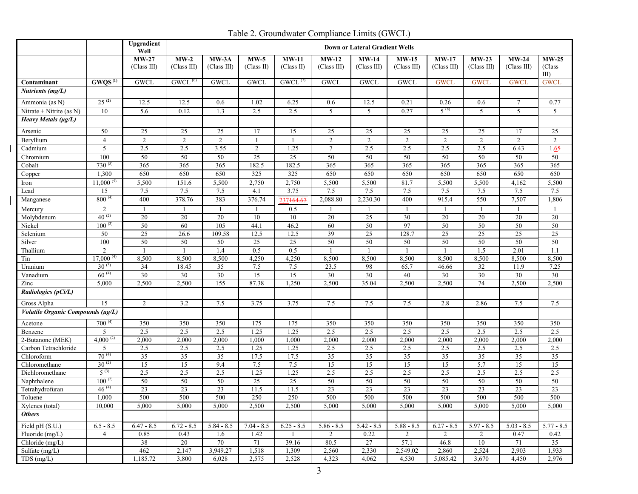<span id="page-6-0"></span>Table 2. Groundwater Compliance Limits (GWCL)

|                                   |                         | Upgradient<br>Well     |                                    | <b>Down or Lateral Gradient Wells</b> |                      |                       |                        |                        |                        |                        |                        |                        |                                   |
|-----------------------------------|-------------------------|------------------------|------------------------------------|---------------------------------------|----------------------|-----------------------|------------------------|------------------------|------------------------|------------------------|------------------------|------------------------|-----------------------------------|
|                                   |                         | $MW-27$<br>(Class III) | $MW-2$<br>(Class III)              | $MW-3A$<br>$(Class \text{ III})$      | $MW-5$<br>(Class II) | $MW-11$<br>(Class II) | $MW-12$<br>(Class III) | $MW-14$<br>(Class III) | $MW-15$<br>(Class III) | $MW-17$<br>(Class III) | $MW-23$<br>(Class III) | $MW-24$<br>(Class III) | $MW-25$<br>(Class<br>$\text{III}$ |
| Contaminant                       | $GWQS^{(1)}$            | <b>GWCL</b>            | $GWCL$ <sup><math>(6)</math></sup> | <b>GWCL</b>                           | <b>GWCL</b>          | $GWCL$ <sup>(7)</sup> | <b>GWCL</b>            | <b>GWCL</b>            | <b>GWCL</b>            | <b>GWCL</b>            | <b>GWCL</b>            | <b>GWCL</b>            | <b>GWCL</b>                       |
| Nutrients (mg/L)                  |                         |                        |                                    |                                       |                      |                       |                        |                        |                        |                        |                        |                        |                                   |
| Ammonia (as N)                    | $25^{(2)}$              | 12.5                   | 12.5                               | 0.6                                   | 1.02                 | 6.25                  | 0.6                    | 12.5                   | 0.21                   | 0.26                   | 0.6                    | 7                      | 0.77                              |
| Nitrate + Nitrite (as N)          | 10                      | 5.6                    | 0.12                               | $\overline{1.3}$                      | 2.5                  | 2.5                   | 5                      | 5                      | 0.27                   | $5^{(8)}$              | 5                      | $\overline{5}$         | 5                                 |
| Heavy Metals (µg/L)               |                         |                        |                                    |                                       |                      |                       |                        |                        |                        |                        |                        |                        |                                   |
| Arsenic                           | 50                      | 25                     | 25                                 | 25                                    | 17                   | 15                    | 25                     | 25                     | 25                     | 25                     | 25                     | 17                     | 25                                |
| Beryllium                         | $\overline{4}$          | $\overline{2}$         | 2                                  | 2                                     | $\overline{1}$       | 1                     | 2                      | 2                      | 2                      | $\overline{2}$         | 2                      | $\overline{2}$         | 2                                 |
| Cadmium                           | 5                       | 2.5                    | 2.5                                | 3.55                                  | 2                    | 1.25                  | $\tau$                 | 2.5                    | 2.5                    | 2.5                    | 2.5                    | 6.43                   | 1.65                              |
| Chromium                          | 100                     | 50                     | 50                                 | 50                                    | 25                   | $\overline{25}$       | 50                     | 50                     | 50                     | 50                     | 50                     | 50                     | 50                                |
| Cobalt                            | $730^{(5)}$             | 365                    | 365                                | 365                                   | 182.5                | 182.5                 | 365                    | 365                    | 365                    | 365                    | 365                    | 365                    | 365                               |
| Copper                            | 1,300                   | 650                    | 650                                | 650                                   | 325                  | 325                   | 650                    | 650                    | 650                    | 650                    | 650                    | 650                    | 650                               |
| Iron                              | $11,000^{(5)}$          | 5,500                  | 151.6                              | 5,500                                 | 2,750                | 2,750                 | 5,500                  | 5,500                  | 81.7                   | 5,500                  | 5,500                  | 4,162                  | 5,500                             |
| Lead                              | 15                      | 7.5                    | 7.5                                | 7.5                                   | 4.1                  | 3.75                  | 7.5                    | 7.5                    | 7.5                    | 7.5                    | 7.5                    | 7.5                    | 7.5                               |
| Manganese                         | $800^{(4)}$             | 400                    | 378.76                             | 383                                   | 376.74               | 237464.67             | 2,088.80               | 2,230.30               | 400                    | 915.4                  | 550                    | 7,507                  | 1,806                             |
| Mercury                           | 2                       | -1                     |                                    |                                       |                      | 0.5                   |                        |                        |                        |                        | -1                     | -1                     |                                   |
| Molybdenum                        | $40^{(2)}$              | 20                     | 20                                 | 20                                    | 10                   | 10                    | 20                     | $25\,$                 | 30                     | 20                     | 20                     | 20                     | 20                                |
| Nickel                            | $100^{(3)}$             | 50                     | 60                                 | 105                                   | 44.1                 | 46.2                  | 60                     | 50                     | 97                     | 50                     | 50                     | 50                     | 50                                |
| Selenium                          | 50                      | 25                     | 26.6                               | 109.58                                | 12.5                 | 12.5                  | 39                     | 25                     | 128.7                  | 25                     | 25                     | 25                     | 25                                |
| Silver                            | 100                     | 50                     | 50                                 | 50                                    | 25                   | 25                    | 50                     | 50                     | 50                     | 50                     | 50                     | 50                     | 50                                |
| Thallium                          | $\mathfrak{D}$          |                        |                                    | $\overline{1.4}$                      | 0.5                  | 0.5                   |                        |                        |                        |                        | 1.5                    | $\overline{2.01}$      | 1.1                               |
| Tin                               | $17,000^{(4)}$          | 8,500                  | 8,500                              | 8,500                                 | 4,250                | 4,250                 | 8,500                  | 8,500                  | 8,500                  | 8,500                  | 8,500                  | 8,500                  | 8,500                             |
| Uranium                           | $30^{(3)}$              | 34                     | 18.45                              | 35                                    | 7.5                  | 7.5                   | 23.5                   | 98                     | 65.7                   | 46.66                  | 32                     | 11.9                   | 7.25                              |
| Vanadium                          | $60^{(4)}$              | 30                     | 30                                 | 30                                    | 15                   | 15                    | 30                     | 30                     | 40                     | 30                     | $\overline{30}$        | 30                     | 30                                |
| Zinc                              | 5,000                   | 2,500                  | 2,500                              | 155                                   | 87.38                | 1,250                 | 2,500                  | 35.04                  | 2,500                  | 2,500                  | 74                     | 2,500                  | 2,500                             |
| Radiologics (pCi/L)               |                         |                        |                                    |                                       |                      |                       |                        |                        |                        |                        |                        |                        |                                   |
| Gross Alpha                       | 15                      | $\overline{2}$         | 3.2                                | 7.5                                   | 3.75                 | 3.75                  | 7.5                    | 7.5                    | 7.5                    | 2.8                    | 2.86                   | 7.5                    | 7.5                               |
| Volatile Organic Compounds (µg/L) |                         |                        |                                    |                                       |                      |                       |                        |                        |                        |                        |                        |                        |                                   |
| Acetone                           | $700^{(4)}$             | 350                    | 350                                | 350                                   | 175                  | 175                   | 350                    | 350                    | 350                    | 350                    | 350                    | 350                    | 350                               |
| Benzene                           | 5                       | 2.5                    | 2.5                                | 2.5                                   | 1.25                 | 1.25                  | 2.5                    | 2.5                    | 2.5                    | 2.5                    | 2.5                    | 2.5                    | 2.5                               |
| 2-Butanone (MEK)                  | 4,000 $^{(2)}$          | 2,000                  | 2,000                              | 2,000                                 | 1,000                | 1,000                 | 2,000                  | 2,000                  | 2,000                  | 2,000                  | 2,000                  | 2,000                  | 2,000                             |
| Carbon Tetrachloride              | 5                       | 2.5                    | 2.5                                | 2.5                                   | 1.25                 | 1.25                  | 2.5                    | 2.5                    | 2.5                    | 2.5                    | 2.5                    | 2.5                    | 2.5                               |
| Chloroform                        | $70^{(4)}$              | 35                     | 35                                 | 35                                    | 17.5                 | 17.5                  | 35                     | 35                     | 35                     | 35                     | 35                     | 35                     | 35                                |
| Chloromethane                     | $30^{(2)}$<br>$5^{(3)}$ | 15                     | 15                                 | 9.4                                   | 7.5                  | 7.5                   | 15                     | 15                     | 15                     | 15                     | 5.7                    | 15                     | 15                                |
| Dichloromethane                   | $100^{(2)}$             | 2.5                    | 2.5                                | 2.5                                   | 1.25                 | 1.25                  | 2.5                    | 2.5                    | 2.5                    | 2.5                    | 2.5                    | 2.5                    | 2.5                               |
| Naphthalene                       |                         | 50                     | 50                                 | 50                                    | $\overline{25}$      | $\overline{25}$       | 50                     | 50                     | 50                     | 50                     | 50                     | 50                     | 50                                |
| Tetrahydrofuran                   | $46^{(4)}$              | 23                     | 23<br>500                          | $\overline{23}$<br>500                | 11.5                 | 11.5                  | $\overline{23}$        | 23                     | 23                     | 23<br>500              | 23                     | $\overline{23}$<br>500 | 23<br>500                         |
| Toluene                           | 1,000                   | 500                    |                                    |                                       | 250                  | 250                   | 500                    | 500                    | 500                    |                        | 500                    |                        |                                   |
| Xylenes (total)<br><b>Others</b>  | 10,000                  | 5,000                  | 5,000                              | 5,000                                 | 2,500                | 2,500                 | 5,000                  | 5,000                  | 5,000                  | 5,000                  | 5,000                  | 5,000                  | 5,000                             |
| Field pH (S.U.)                   | $6.5 - 8.5$             | $6.47 - 8.5$           | $6.72 - 8.5$                       | $5.84 - 8.5$                          | $7.04 - 8.5$         | $6.25 - 8.5$          | $5.86 - 8.5$           | $5.42 - 8.5$           | $5.88 - 8.5$           | $6.27 - 8.5$           | $5.97 - 8.5$           | $5.03 - 8.5$           | $5.77 - 8.5$                      |
| Fluoride (mg/L)                   | $\overline{4}$          | 0.85                   | 0.43                               | 1.6                                   | 1.42                 |                       | 2                      | 0.22                   | $\overline{2}$         | $\overline{2}$         | $\overline{2}$         | 0.47                   | 0.42                              |
| Chloride (mg/L)                   |                         | 38                     | 20                                 | 70                                    | 71                   | 39.16                 | 80.5                   | 27                     | 57.1                   | 46.8                   | 10                     | 71                     | 35                                |
| Sulfate $(mg/L)$                  |                         | 462                    | 2,147                              | 3,949.27                              | 1,518                | 1,309                 | 2,560                  | 2,330                  | 2,549.02               | 2,860                  | 2,524                  | 2,903                  | 1,933                             |
| TDS(mg/L)                         |                         | 1,185.72               | 3,800                              | 6,028                                 | 2,575                | 2,528                 | 4,323                  | 4,062                  | 4,530                  | 5,085.42               | 3,670                  | 4,450                  | 2,976                             |
|                                   |                         |                        |                                    |                                       |                      |                       |                        |                        |                        |                        |                        |                        |                                   |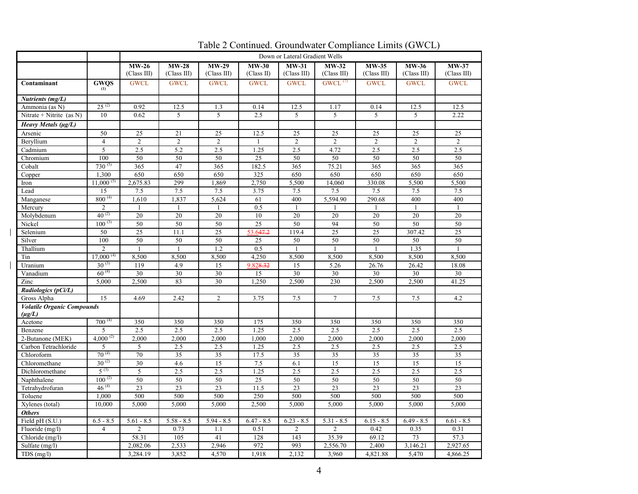|                                   |                          | Down or Lateral Gradient Wells |                       |                |              |                |                       |              |                       |                 |
|-----------------------------------|--------------------------|--------------------------------|-----------------------|----------------|--------------|----------------|-----------------------|--------------|-----------------------|-----------------|
|                                   |                          | $MW-26$                        | $MW-28$               | $MW-29$        | $MW-30$      | $MW-31$        | $MW-32$               | <b>MW-35</b> | <b>MW-36</b>          | $MW-37$         |
|                                   |                          | (Class III)                    | (Class III)           | (Class III)    | (Class II)   | (Class III)    | (Class III)           | (Class III)  | (Class III)           | (Class III)     |
| Contaminant                       | GWQS                     | <b>GWCL</b>                    | <b>GWCL</b>           | <b>GWCL</b>    | <b>GWCL</b>  | <b>GWCL</b>    | $GWCL$ <sup>(7)</sup> | <b>GWCL</b>  | <b>GWCL</b>           | <b>GWCL</b>     |
| Nutrients (mg/L)                  |                          |                                |                       |                |              |                |                       |              |                       |                 |
| Ammonia (as N)                    | $25^{(2)}$               | 0.92                           | 12.5                  | 1.3            | 0.14         | 12.5           | 1.17                  | 0.14         | 12.5                  | 12.5            |
| Nitrate + Nitrite (as N)          | 10                       | 0.62                           | 5                     | 5              | 2.5          | 5              | 5                     | 5            | 5                     | 2.22            |
| Heavy Metals (µg/L)               |                          |                                |                       |                |              |                |                       |              |                       |                 |
| Arsenic                           | 50                       | 25                             | 21                    | 25             | 12.5         | 25             | 25                    | 25           | 25                    | 25              |
| Beryllium                         | $\overline{4}$           | 2                              | $\overline{2}$        | $\overline{2}$ | 1            | $\overline{2}$ | 2                     | 2            | 2                     | 2               |
| Cadmium                           | 5                        | 2.5                            | 5.2                   | 2.5            | 1.25         | 2.5            | 4.72                  | 2.5          | 2.5                   | 2.5             |
| Chromium                          | 100                      | 50                             | 50                    | 50             | 25           | 50             | 50                    | 50           | 50                    | 50              |
| Cobalt                            | $730^{(5)}$              | 365                            | 47                    | 365            | 182.5        | 365            | 75.21                 | 365          | 365                   | 365             |
| Copper                            | 1.300                    | 650                            | 650                   | 650            | 325          | 650            | 650                   | 650          | 650                   | 650             |
| Iron                              | $11,000^{(5)}$           | 2,675.83                       | 299                   | 1,869          | 2,750        | 5,500          | 14,060                | 330.08       | 5,500                 | 5,500           |
| Lead                              | 15                       | 7.5                            | 7.5                   | 7.5            | 3.75         | 7.5            | 7.5                   | 7.5          | 7.5                   | 7.5             |
| Manganese                         | $800^{(4)}$              | 1,610                          | 1,837                 | 5,624          | 61           | 400            | 5,594.90              | 290.68       | 400                   | 400             |
| Mercury                           | $\mathcal{D}_{\alpha}$   | $\mathbf{1}$                   | $\mathbf{1}$          | $\mathbf{1}$   | 0.5          | $\mathbf{1}$   | 1                     | $\mathbf{1}$ | $\mathbf{1}$          | $\mathbf{1}$    |
| Molybdenum                        | $40^{(2)}$               | 20                             | 20                    | 20             | 10           | 20             | 20                    | 20           | 20                    | 20              |
| Nickel                            | $100^{(3)}$              | 50                             | 50                    | 50             | 25           | 50             | 94                    | 50           | 50                    | 50              |
| Selenium                          | 50                       | 25                             | 11.1                  | 25             | 53.647.2     | 119.4          | 25                    | 25           | 307.42                | 25              |
| Silver                            | 100                      | 50                             | 50                    | 50             | 25           | 50             | 50                    | 50           | 50                    | 50              |
| Thallium                          | $\overline{2}$           | $\mathbf{1}$                   | $\mathbf{1}$          | 1.2            | 0.5          |                | $\mathbf{1}$          |              | 1.35                  | $\mathbf{1}$    |
| Tin                               | $17,000^{(4)}$           | 8,500                          | 8,500                 | 8,500          | 4,250        | 8,500          | 8,500                 | 8,500        | 8,500                 | 8,500           |
| Uranium                           | $30^{(3)}$               | 119                            | 4.9                   | 15             | 9.828.32     | 15             | 5.26                  | 26.76        | 26.42                 | 18.08           |
| Vanadium                          | $60^{(4)}$               | 30                             | 30                    | 30             | 15           | 30             | 30                    | 30           | 30                    | 30              |
| Zinc                              | 5,000                    | 2,500                          | 83                    | 30             | 1,250        | 2,500          | 230                   | 2,500        | 2,500                 | 41.25           |
| Radiologics (pCi/L)               |                          |                                |                       |                |              |                |                       |              |                       |                 |
| Gross Alpha                       | 15                       | 4.69                           | 2.42                  | $\overline{2}$ | 3.75         | 7.5            | $\overline{7}$        | 7.5          | 7.5                   | 4.2             |
| <b>Volatile Organic Compounds</b> |                          |                                |                       |                |              |                |                       |              |                       |                 |
| $(\mu g/L)$                       |                          |                                |                       |                |              |                |                       |              |                       |                 |
| Acetone                           | $700^{(4)}$              | 350                            | 350                   | 350            | 175          | 350            | 350                   | 350          | 350                   | 350             |
| Benzene                           | 5                        | 2.5                            | 2.5                   | 2.5            | 1.25         | 2.5            | 2.5                   | 2.5          | 2.5                   | 2.5             |
| 2-Butanone (MEK)                  | $4,000^{(2)}$            | 2,000                          | 2,000                 | 2,000          | 1,000        | 2,000          | 2,000                 | 2,000        | 2,000                 | 2,000           |
| Carbon Tetrachloride              | 5                        | 5                              | 2.5                   | 2.5            | 1.25         | 2.5            | 2.5                   | 2.5          | 2.5                   | 2.5             |
| Chloroform                        | $70^{(4)}$<br>$30^{(2)}$ | 70                             | 35                    | 35             | 17.5         | 35             | 35                    | 35           | 35                    | 35              |
| Chloromethane                     | $5^{(3)}$                | 30                             | 4.6                   | 15             | 7.5          | 6.1            | 15                    | 15           | 15                    | 15              |
| Dichloromethane                   | $100^{(2)}$              | 5<br>50                        | 2.5                   | 2.5            | 1.25         | 2.5<br>50      | 2.5                   | 2.5          | 2.5                   | 2.5<br>50       |
| Naphthalene                       | $46^{(4)}$               | 23                             | 50<br>$\overline{23}$ | 50<br>23       | 25<br>11.5   | 23             | 50<br>$\overline{23}$ | 50<br>23     | 50<br>$\overline{23}$ | $\overline{23}$ |
| Tetrahydrofuran                   | 1.000                    | 500                            | 500                   | 500            | 250          | 500            | 500                   | 500          | 500                   | 500             |
| Toluene                           | 10,000                   | 5,000                          | 5,000                 |                |              |                |                       | 5,000        |                       |                 |
| Xylenes (total)<br><b>Others</b>  |                          |                                |                       | 5,000          | 2,500        | 5,000          | 5,000                 |              | 5,000                 | 5,000           |
| Field pH (S.U.)                   | $6.5 - 8.5$              | $5.61 - 8.5$                   | $5.58 - 8.5$          | $5.94 - 8.5$   | $6.47 - 8.5$ | $6.23 - 8.5$   | $5.31 - 8.5$          | $6.15 - 8.5$ | $6.49 - 8.5$          | $6.61 - 8.5$    |
| Fluoride (mg/l)                   | 4                        | $\overline{c}$                 | 0.73                  | 1.1            | 0.51         | 2              | $\overline{c}$        | 0.42         | 0.35                  | 0.31            |
| Chloride (mg/l)                   |                          | 58.31                          | 105                   | 41             | 128          | 143            | 35.39                 | 69.12        | 73                    | 57.3            |
| Sulfate (mg/l)                    |                          | 2,082.06                       | 2,533                 | 2,946          | 972          | 993            | 2,556.70              | 2,400        | 3,146.21              | 2,927.65        |
| TDS (mg/l)                        |                          | 3,284.19                       | 3,852                 | 4,570          | 1,918        | 2,132          | 3,960                 | 4,821.88     | 5,470                 | 4,866.25        |
|                                   |                          |                                |                       |                |              |                |                       |              |                       |                 |

 $\mathbf{I}$ 

 $\overline{\phantom{a}}$ 

Table 2 Continued. Groundwater Compliance Limits (GWCL)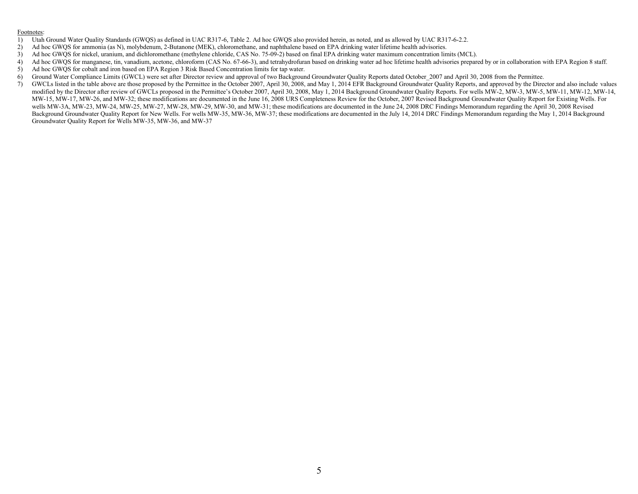#### Footnotes:

- 1) Utah Ground Water Quality Standards (GWQS) as defined in UAC R317-6, Table 2. Ad hoc GWQS also provided herein, as noted, and as allowed by UAC R317-6-2.2.<br>2) Ad hoc GWOS for ammonia (as N), molybdenum, 2-Butanone (MEK)
- 2) Ad hoc GWQS for ammonia (as N), molybdenum, 2-Butanone (MEK), chloromethane, and naphthalene based on EPA drinking water lifetime health advisories.
- 3) Ad hoc GWQS for nickel, uranium, and dichloromethane (methylene chloride, CAS No. 75-09-2) based on final EPA drinking water maximum concentration limits (MCL).
- 4) Ad hoc GWQS for manganese, tin, vanadium, acetone, chloroform (CAS No. 67-66-3), and tetrahydrofuran based on drinking water ad hoc lifetime health advisories prepared by or in collaboration with EPA Region 8 staff.
- 5) Ad hoc GWQS for cobalt and iron based on EPA Region 3 Risk Based Concentration limits for tap water.
- 6) Ground Water Compliance Limits (GWCL) were set after Director review and approval of two Background Groundwater Quality Reports dated October\_2007 and April 30, 2008 from the Permittee.
- 7) GWCLs listed in the table above are those proposed by the Permittee in the October 2007, April 30, 2008, and May 1, 2014 EFR Background Groundwater Quality Reports, and approved by the Director and also include values modified by the Director after review of GWCLs proposed in the Permittee's October 2007, April 30, 2008, May 1, 2014 Background Groundwater Quality Reports. For wells MW-2, MW-3, MW-5, MW-11, MW-12, MW-14, MW-15, MW-17, MW-26, and MW-32; these modifications are documented in the June 16, 2008 URS Completeness Review for the October, 2007 Revised Background Groundwater Quality Report for Existing Wells. For wells MW-3A, MW-23, MW-24, MW-25, MW-27, MW-28, MW-29, MW-30, and MW-31; these modifications are documented in the June 24, 2008 DRC Findings Memorandum regarding the April 30, 2008 Revised Background Groundwater Quality Report for New Wells. For wells MW-35, MW-36, MW-37; these modifications are documented in the July 14, 2014 DRC Findings Memorandum regarding the May 1, 2014 Background Groundwater Quality Report for Wells MW-35, MW-36, and MW-37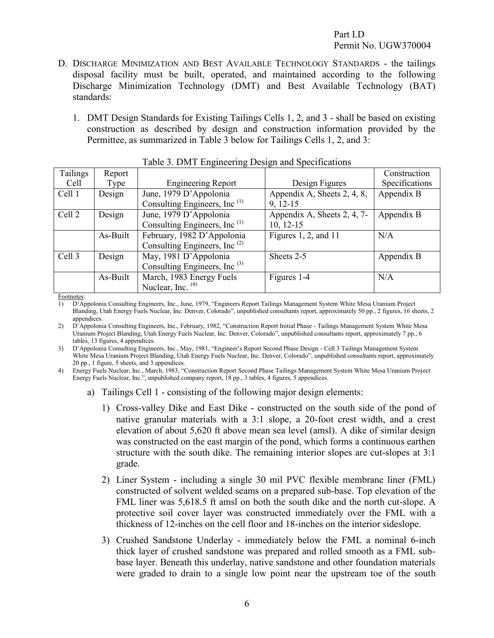- D. DISCHARGE MINIMIZATION AND BEST AVAILABLE TECHNOLOGY STANDARDS the tailings disposal facility must be built, operated, and maintained according to the following Discharge Minimization Technology (DMT) and Best Available Technology (BAT) standards:
	- 1. DMT Design Standards for Existing Tailings Cells 1, 2, and 3 shall be based on existing construction as described by design and construction information provided by the Permittee, as summarized in Table 3 below for Tailings Cells 1, 2, and 3:

|          |          | Tuble 5: Din 1 Engineering Design and Specifications |                             |                |
|----------|----------|------------------------------------------------------|-----------------------------|----------------|
| Tailings | Report   |                                                      |                             | Construction   |
| Cell     | Type     | <b>Engineering Report</b>                            | Design Figures              | Specifications |
| Cell 1   | Design   | June, 1979 D'Appolonia                               | Appendix A, Sheets 2, 4, 8, | Appendix B     |
|          |          | Consulting Engineers, Inc <sup>(1)</sup>             | $9, 12-15$                  |                |
| Cell 2   | Design   | June, 1979 D'Appolonia                               | Appendix A, Sheets 2, 4, 7- | Appendix B     |
|          |          | Consulting Engineers, Inc <sup>(1)</sup>             | $10, 12-15$                 |                |
|          | As-Built | February, 1982 D'Appolonia                           | Figures 1, 2, and 11        | N/A            |
|          |          | Consulting Engineers, Inc <sup>(2)</sup>             |                             |                |
| Cell 3   | Design   | May, 1981 D'Appolonia                                | Sheets 2-5                  | Appendix B     |
|          |          | Consulting Engineers, Inc <sup>(3)</sup>             |                             |                |
|          | As-Built | March, 1983 Energy Fuels                             | Figures 1-4                 | N/A            |
|          |          | Nuclear, Inc. (4)                                    |                             |                |

<span id="page-9-2"></span><span id="page-9-1"></span><span id="page-9-0"></span>

| Table 3. DMT Engineering Design and Specifications |  |  |  |  |
|----------------------------------------------------|--|--|--|--|
|                                                    |  |  |  |  |

Footnotes:

1) D'Appolonia Consulting Engineers, Inc., June, 1979, "Engineers Report Tailings Management System White Mesa Uranium Project Blanding, Utah Energy Fuels Nuclear, Inc. Denver, Colorado", unpublished consultants report, approximately 50 pp., 2 figures, 16 sheets, 2 appendices

2) D'Appolonia Consulting Engineers, Inc., February, 1982, "Construction Report Initial Phase - Tailings Management System White Mesa Uranium Project Blanding, Utah Energy Fuels Nuclear, Inc. Denver, Colorado", unpublished consultants report, approximately 7 pp., 6 tables, 13 figures, 4 appendices.

3) D'Appolonia Consulting Engineers, Inc., May, 1981, "Engineer's Report Second Phase Design - Cell 3 Tailings Management System White Mesa Uranium Project Blanding, Utah Energy Fuels Nuclear, Inc. Denver, Colorado", unpublished consultants report, approximately 20 pp., 1 figure, 5 sheets, and 3 appendices.

4) Energy Fuels Nuclear, Inc., March, 1983, "Construction Report Second Phase Tailings Management System White Mesa Uranium Project Energy Fuels Nuclear, Inc.", unpublished company report, 18 pp., 3 tables, 4 figures, 5 appendices.

- a) Tailings Cell 1 consisting of the following major design elements:
	- 1) Cross-valley Dike and East Dike constructed on the south side of the pond of native granular materials with a 3:1 slope, a 20-foot crest width, and a crest elevation of about 5,620 ft above mean sea level (amsl). A dike of similar design was constructed on the east margin of the pond, which forms a continuous earthen structure with the south dike. The remaining interior slopes are cut-slopes at 3:1 grade.
	- 2) Liner System including a single 30 mil PVC flexible membrane liner (FML) constructed of solvent welded seams on a prepared sub-base. Top elevation of the FML liner was 5,618.5 ft amsl on both the south dike and the north cut-slope. A protective soil cover layer was constructed immediately over the FML with a thickness of 12-inches on the cell floor and 18-inches on the interior sideslope.
	- 3) Crushed Sandstone Underlay immediately below the FML a nominal 6-inch thick layer of crushed sandstone was prepared and rolled smooth as a FML subbase layer. Beneath this underlay, native sandstone and other foundation materials were graded to drain to a single low point near the upstream toe of the south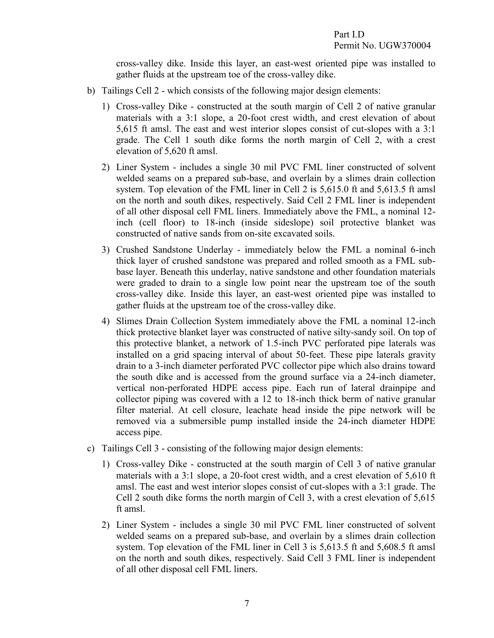cross-valley dike. Inside this layer, an east-west oriented pipe was installed to gather fluids at the upstream toe of the cross-valley dike.

- b) Tailings Cell 2 which consists of the following major design elements:
	- 1) Cross-valley Dike constructed at the south margin of Cell 2 of native granular materials with a 3:1 slope, a 20-foot crest width, and crest elevation of about 5,615 ft amsl. The east and west interior slopes consist of cut-slopes with a 3:1 grade. The Cell 1 south dike forms the north margin of Cell 2, with a crest elevation of 5,620 ft amsl.
	- 2) Liner System includes a single 30 mil PVC FML liner constructed of solvent welded seams on a prepared sub-base, and overlain by a slimes drain collection system. Top elevation of the FML liner in Cell 2 is 5,615.0 ft and 5,613.5 ft amsl on the north and south dikes, respectively. Said Cell 2 FML liner is independent of all other disposal cell FML liners. Immediately above the FML, a nominal 12 inch (cell floor) to 18-inch (inside sideslope) soil protective blanket was constructed of native sands from on-site excavated soils.
	- 3) Crushed Sandstone Underlay immediately below the FML a nominal 6-inch thick layer of crushed sandstone was prepared and rolled smooth as a FML subbase layer. Beneath this underlay, native sandstone and other foundation materials were graded to drain to a single low point near the upstream toe of the south cross-valley dike. Inside this layer, an east-west oriented pipe was installed to gather fluids at the upstream toe of the cross-valley dike.
	- 4) Slimes Drain Collection System immediately above the FML a nominal 12-inch thick protective blanket layer was constructed of native silty-sandy soil. On top of this protective blanket, a network of 1.5-inch PVC perforated pipe laterals was installed on a grid spacing interval of about 50-feet. These pipe laterals gravity drain to a 3-inch diameter perforated PVC collector pipe which also drains toward the south dike and is accessed from the ground surface via a 24-inch diameter, vertical non-perforated HDPE access pipe. Each run of lateral drainpipe and collector piping was covered with a 12 to 18-inch thick berm of native granular filter material. At cell closure, leachate head inside the pipe network will be removed via a submersible pump installed inside the 24-inch diameter HDPE access pipe.
- c) Tailings Cell 3 consisting of the following major design elements:
	- 1) Cross-valley Dike constructed at the south margin of Cell 3 of native granular materials with a 3:1 slope, a 20-foot crest width, and a crest elevation of 5,610 ft amsl. The east and west interior slopes consist of cut-slopes with a 3:1 grade. The Cell 2 south dike forms the north margin of Cell 3, with a crest elevation of 5,615 ft amsl.
	- 2) Liner System includes a single 30 mil PVC FML liner constructed of solvent welded seams on a prepared sub-base, and overlain by a slimes drain collection system. Top elevation of the FML liner in Cell 3 is 5,613.5 ft and 5,608.5 ft amsl on the north and south dikes, respectively. Said Cell 3 FML liner is independent of all other disposal cell FML liners.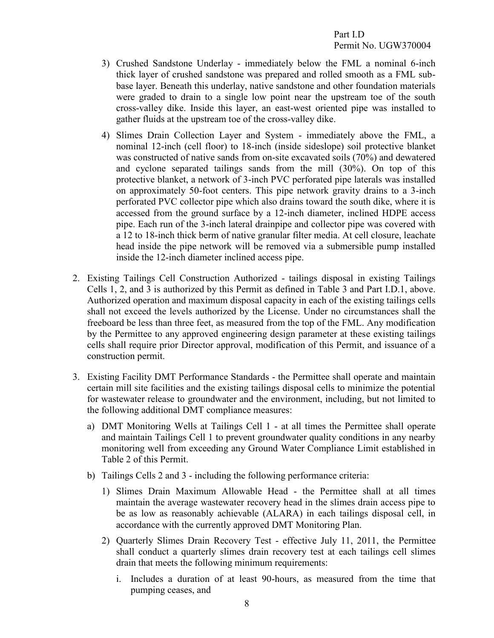- 3) Crushed Sandstone Underlay immediately below the FML a nominal 6-inch thick layer of crushed sandstone was prepared and rolled smooth as a FML subbase layer. Beneath this underlay, native sandstone and other foundation materials were graded to drain to a single low point near the upstream toe of the south cross-valley dike. Inside this layer, an east-west oriented pipe was installed to gather fluids at the upstream toe of the cross-valley dike.
- 4) Slimes Drain Collection Layer and System immediately above the FML, a nominal 12-inch (cell floor) to 18-inch (inside sideslope) soil protective blanket was constructed of native sands from on-site excavated soils (70%) and dewatered and cyclone separated tailings sands from the mill (30%). On top of this protective blanket, a network of 3-inch PVC perforated pipe laterals was installed on approximately 50-foot centers. This pipe network gravity drains to a 3-inch perforated PVC collector pipe which also drains toward the south dike, where it is accessed from the ground surface by a 12-inch diameter, inclined HDPE access pipe. Each run of the 3-inch lateral drainpipe and collector pipe was covered with a 12 to 18-inch thick berm of native granular filter media. At cell closure, leachate head inside the pipe network will be removed via a submersible pump installed inside the 12-inch diameter inclined access pipe.
- <span id="page-11-0"></span>2. Existing Tailings Cell Construction Authorized - tailings disposal in existing Tailings Cells 1, 2, and 3 is authorized by this Permit as defined in Table 3 and Part I.D.1, above. Authorized operation and maximum disposal capacity in each of the existing tailings cells shall not exceed the levels authorized by the License. Under no circumstances shall the freeboard be less than three feet, as measured from the top of the FML. Any modification by the Permittee to any approved engineering design parameter at these existing tailings cells shall require prior Director approval, modification of this Permit, and issuance of a construction permit.
- <span id="page-11-1"></span>3. Existing Facility DMT Performance Standards - the Permittee shall operate and maintain certain mill site facilities and the existing tailings disposal cells to minimize the potential for wastewater release to groundwater and the environment, including, but not limited to the following additional DMT compliance measures:
	- a) DMT Monitoring Wells at Tailings Cell 1 at all times the Permittee shall operate and maintain Tailings Cell 1 to prevent groundwater quality conditions in any nearby monitoring well from exceeding any Ground Water Compliance Limit established in Table 2 of this Permit.
	- b) Tailings Cells 2 and 3 including the following performance criteria:
		- 1) Slimes Drain Maximum Allowable Head the Permittee shall at all times maintain the average wastewater recovery head in the slimes drain access pipe to be as low as reasonably achievable (ALARA) in each tailings disposal cell, in accordance with the currently approved DMT Monitoring Plan.
		- 2) Quarterly Slimes Drain Recovery Test effective July 11, 2011, the Permittee shall conduct a quarterly slimes drain recovery test at each tailings cell slimes drain that meets the following minimum requirements:
			- i. Includes a duration of at least 90-hours, as measured from the time that pumping ceases, and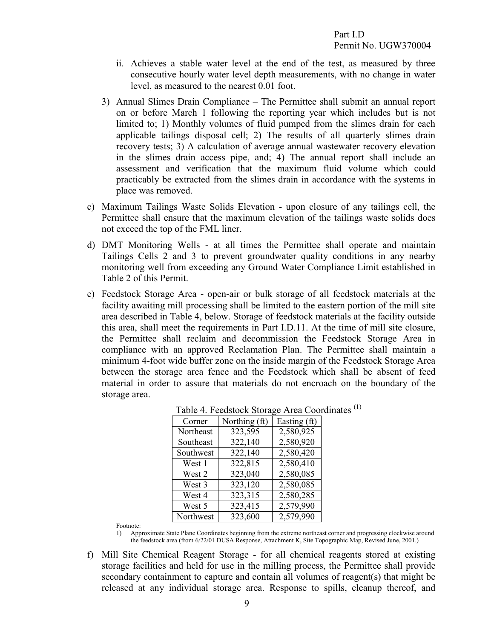- ii. Achieves a stable water level at the end of the test, as measured by three consecutive hourly water level depth measurements, with no change in water level, as measured to the nearest 0.01 foot.
- 3) Annual Slimes Drain Compliance The Permittee shall submit an annual report on or before March 1 following the reporting year which includes but is not limited to; 1) Monthly volumes of fluid pumped from the slimes drain for each applicable tailings disposal cell; 2) The results of all quarterly slimes drain recovery tests; 3) A calculation of average annual wastewater recovery elevation in the slimes drain access pipe, and; 4) The annual report shall include an assessment and verification that the maximum fluid volume which could practicably be extracted from the slimes drain in accordance with the systems in place was removed.
- c) Maximum Tailings Waste Solids Elevation upon closure of any tailings cell, the Permittee shall ensure that the maximum elevation of the tailings waste solids does not exceed the top of the FML liner.
- d) DMT Monitoring Wells at all times the Permittee shall operate and maintain Tailings Cells 2 and 3 to prevent groundwater quality conditions in any nearby monitoring well from exceeding any Ground Water Compliance Limit established in Table 2 of this Permit.
- e) Feedstock Storage Area open-air or bulk storage of all feedstock materials at the facility awaiting mill processing shall be limited to the eastern portion of the mill site area described in Table 4, below. Storage of feedstock materials at the facility outside this area, shall meet the requirements in Part I.D.11. At the time of mill site closure, the Permittee shall reclaim and decommission the Feedstock Storage Area in compliance with an approved Reclamation Plan. The Permittee shall maintain a minimum 4-foot wide buffer zone on the inside margin of the Feedstock Storage Area between the storage area fence and the Feedstock which shall be absent of feed material in order to assure that materials do not encroach on the boundary of the storage area.

| Corner    | Northing (It) | Easting (II) |
|-----------|---------------|--------------|
| Northeast | 323,595       | 2,580,925    |
| Southeast | 322,140       | 2,580,920    |
| Southwest | 322,140       | 2,580,420    |
| West 1    | 322,815       | 2,580,410    |
| West 2    | 323,040       | 2,580,085    |
| West 3    | 323,120       | 2,580,085    |
| West 4    | 323,315       | 2,580,285    |
| West 5    | 323,415       | 2,579,990    |
| Northwest | 323,600       | 2,579,990    |

|                                                                                                                                    | Table 4. Feedstock Storage Area Coordinates <sup>(1)</sup> |
|------------------------------------------------------------------------------------------------------------------------------------|------------------------------------------------------------|
| $C_{\text{total}}$ $\mathbf{N}_{\text{total}}$ $\mathbf{Q}_{\text{total}}$ $\mathbf{E}_{\text{total}}$ $\mathbf{Q}_{\text{total}}$ |                                                            |

Footnote:

1) Approximate State Plane Coordinates beginning from the extreme northeast corner and progressing clockwise around the feedstock area (from 6/22/01 DUSA Response, Attachment K, Site Topographic Map, Revised June, 2001.)

f) Mill Site Chemical Reagent Storage - for all chemical reagents stored at existing storage facilities and held for use in the milling process, the Permittee shall provide secondary containment to capture and contain all volumes of reagent(s) that might be released at any individual storage area. Response to spills, cleanup thereof, and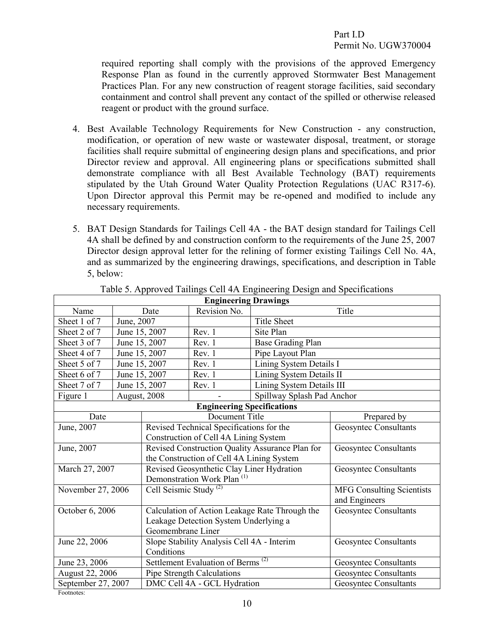<span id="page-13-0"></span>required reporting shall comply with the provisions of the approved Emergency Response Plan as found in the currently approved Stormwater Best Management Practices Plan. For any new construction of reagent storage facilities, said secondary containment and control shall prevent any contact of the spilled or otherwise released reagent or product with the ground surface.

- 4. Best Available Technology Requirements for New Construction any construction, modification, or operation of new waste or wastewater disposal, treatment, or storage facilities shall require submittal of engineering design plans and specifications, and prior Director review and approval. All engineering plans or specifications submitted shall demonstrate compliance with all Best Available Technology (BAT) requirements stipulated by the Utah Ground Water Quality Protection Regulations (UAC R317-6). Upon Director approval this Permit may be re-opened and modified to include any necessary requirements.
- 5. BAT Design Standards for Tailings Cell 4A the BAT design standard for Tailings Cell 4A shall be defined by and construction conform to the requirements of the June 25, 2007 Director design approval letter for the relining of former existing Tailings Cell No. 4A, and as summarized by the engineering drawings, specifications, and description in Table 5, below:

| <b>Engineering Drawings</b>                                    |            |                                                |                                                 |                                  |                              |  |  |
|----------------------------------------------------------------|------------|------------------------------------------------|-------------------------------------------------|----------------------------------|------------------------------|--|--|
| Name                                                           |            | Date                                           | Revision No.                                    |                                  | Title                        |  |  |
| Sheet 1 of 7                                                   | June, 2007 |                                                |                                                 | <b>Title Sheet</b>               |                              |  |  |
| Sheet 2 of 7                                                   |            | June 15, 2007                                  | Rev. 1                                          | Site Plan                        |                              |  |  |
| Sheet 3 of 7                                                   |            | June 15, 2007                                  | Rev. 1                                          | <b>Base Grading Plan</b>         |                              |  |  |
| Sheet 4 of 7                                                   |            | June 15, 2007                                  | Rev. 1                                          | Pipe Layout Plan                 |                              |  |  |
| Sheet 5 of 7                                                   |            | June 15, 2007                                  | Rev. 1                                          | Lining System Details I          |                              |  |  |
| Sheet 6 of 7                                                   |            | June 15, 2007                                  | Rev. 1                                          | Lining System Details II         |                              |  |  |
| Sheet 7 of 7                                                   |            | June 15, 2007                                  | Rev. 1                                          | Lining System Details III        |                              |  |  |
| Figure 1                                                       |            | August, 2008                                   |                                                 | Spillway Splash Pad Anchor       |                              |  |  |
|                                                                |            |                                                | <b>Engineering Specifications</b>               |                                  |                              |  |  |
| Date                                                           |            |                                                | Document Title                                  |                                  | Prepared by                  |  |  |
| June, 2007                                                     |            |                                                | Revised Technical Specifications for the        |                                  | <b>Geosyntec Consultants</b> |  |  |
|                                                                |            |                                                | Construction of Cell 4A Lining System           |                                  |                              |  |  |
| June, 2007                                                     |            |                                                | Revised Construction Quality Assurance Plan for | Geosyntec Consultants            |                              |  |  |
|                                                                |            |                                                | the Construction of Cell 4A Lining System       |                                  |                              |  |  |
| March 27, 2007                                                 |            |                                                | Revised Geosynthetic Clay Liner Hydration       | <b>Geosyntec Consultants</b>     |                              |  |  |
|                                                                |            |                                                | Demonstration Work Plan <sup>(1)</sup>          |                                  |                              |  |  |
| November 27, 2006                                              |            | Cell Seismic Study <sup>(2)</sup>              |                                                 | <b>MFG Consulting Scientists</b> |                              |  |  |
|                                                                |            |                                                |                                                 |                                  | and Engineers                |  |  |
| October 6, 2006                                                |            | Calculation of Action Leakage Rate Through the |                                                 |                                  | <b>Geosyntec Consultants</b> |  |  |
|                                                                |            |                                                | Leakage Detection System Underlying a           |                                  |                              |  |  |
|                                                                |            | Geomembrane Liner                              |                                                 |                                  |                              |  |  |
| June 22, 2006                                                  |            | Slope Stability Analysis Cell 4A - Interim     |                                                 |                                  | <b>Geosyntec Consultants</b> |  |  |
| Conditions                                                     |            |                                                |                                                 |                                  |                              |  |  |
| Settlement Evaluation of Berms <sup>(2)</sup><br>June 23, 2006 |            |                                                |                                                 |                                  | <b>Geosyntec Consultants</b> |  |  |
| August 22, 2006                                                |            |                                                | Pipe Strength Calculations                      |                                  | <b>Geosyntec Consultants</b> |  |  |
| September 27, 2007                                             |            |                                                | DMC Cell 4A - GCL Hydration                     |                                  | <b>Geosyntec Consultants</b> |  |  |

<span id="page-13-2"></span><span id="page-13-1"></span>Table 5. Approved Tailings Cell 4A Engineering Design and Specifications

Footnotes: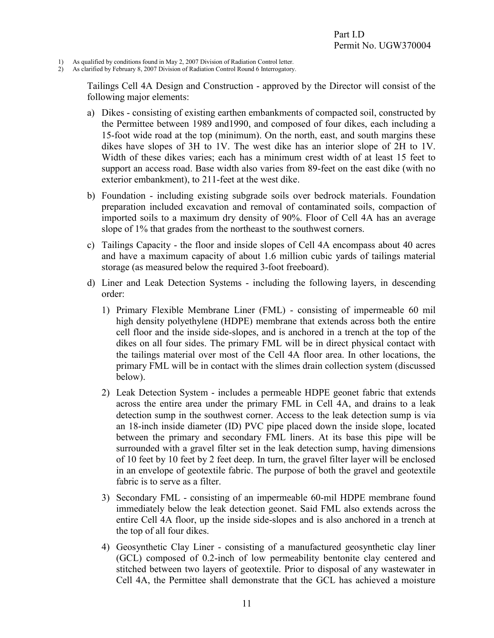- 1) As qualified by conditions found in May 2, 2007 Division of Radiation Control letter.
- 2) As clarified by February 8, 2007 Division of Radiation Control Round 6 Interrogatory.

Tailings Cell 4A Design and Construction - approved by the Director will consist of the following major elements:

- a) Dikes consisting of existing earthen embankments of compacted soil, constructed by the Permittee between 1989 and1990, and composed of four dikes, each including a 15-foot wide road at the top (minimum). On the north, east, and south margins these dikes have slopes of 3H to 1V. The west dike has an interior slope of 2H to 1V. Width of these dikes varies; each has a minimum crest width of at least 15 feet to support an access road. Base width also varies from 89-feet on the east dike (with no exterior embankment), to 211-feet at the west dike.
- b) Foundation including existing subgrade soils over bedrock materials. Foundation preparation included excavation and removal of contaminated soils, compaction of imported soils to a maximum dry density of 90%. Floor of Cell 4A has an average slope of 1% that grades from the northeast to the southwest corners.
- c) Tailings Capacity the floor and inside slopes of Cell 4A encompass about 40 acres and have a maximum capacity of about 1.6 million cubic yards of tailings material storage (as measured below the required 3-foot freeboard).
- d) Liner and Leak Detection Systems including the following layers, in descending order:
	- 1) Primary Flexible Membrane Liner (FML) consisting of impermeable 60 mil high density polyethylene (HDPE) membrane that extends across both the entire cell floor and the inside side-slopes, and is anchored in a trench at the top of the dikes on all four sides. The primary FML will be in direct physical contact with the tailings material over most of the Cell 4A floor area. In other locations, the primary FML will be in contact with the slimes drain collection system (discussed below).
	- 2) Leak Detection System includes a permeable HDPE geonet fabric that extends across the entire area under the primary FML in Cell 4A, and drains to a leak detection sump in the southwest corner. Access to the leak detection sump is via an 18-inch inside diameter (ID) PVC pipe placed down the inside slope, located between the primary and secondary FML liners. At its base this pipe will be surrounded with a gravel filter set in the leak detection sump, having dimensions of 10 feet by 10 feet by 2 feet deep. In turn, the gravel filter layer will be enclosed in an envelope of geotextile fabric. The purpose of both the gravel and geotextile fabric is to serve as a filter.
	- 3) Secondary FML consisting of an impermeable 60-mil HDPE membrane found immediately below the leak detection geonet. Said FML also extends across the entire Cell 4A floor, up the inside side-slopes and is also anchored in a trench at the top of all four dikes.
	- 4) Geosynthetic Clay Liner consisting of a manufactured geosynthetic clay liner (GCL) composed of 0.2-inch of low permeability bentonite clay centered and stitched between two layers of geotextile. Prior to disposal of any wastewater in Cell 4A, the Permittee shall demonstrate that the GCL has achieved a moisture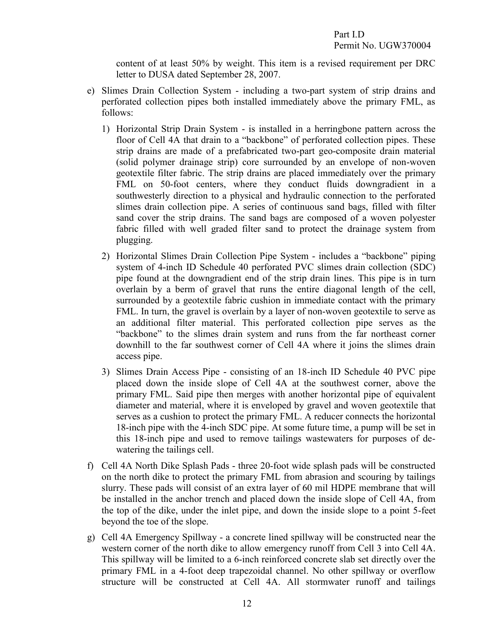content of at least 50% by weight. This item is a revised requirement per DRC letter to DUSA dated September 28, 2007.

- e) Slimes Drain Collection System including a two-part system of strip drains and perforated collection pipes both installed immediately above the primary FML, as follows:
	- 1) Horizontal Strip Drain System is installed in a herringbone pattern across the floor of Cell 4A that drain to a "backbone" of perforated collection pipes. These strip drains are made of a prefabricated two-part geo-composite drain material (solid polymer drainage strip) core surrounded by an envelope of non-woven geotextile filter fabric. The strip drains are placed immediately over the primary FML on 50-foot centers, where they conduct fluids downgradient in a southwesterly direction to a physical and hydraulic connection to the perforated slimes drain collection pipe. A series of continuous sand bags, filled with filter sand cover the strip drains. The sand bags are composed of a woven polyester fabric filled with well graded filter sand to protect the drainage system from plugging.
	- 2) Horizontal Slimes Drain Collection Pipe System includes a "backbone" piping system of 4-inch ID Schedule 40 perforated PVC slimes drain collection (SDC) pipe found at the downgradient end of the strip drain lines. This pipe is in turn overlain by a berm of gravel that runs the entire diagonal length of the cell, surrounded by a geotextile fabric cushion in immediate contact with the primary FML. In turn, the gravel is overlain by a layer of non-woven geotextile to serve as an additional filter material. This perforated collection pipe serves as the "backbone" to the slimes drain system and runs from the far northeast corner downhill to the far southwest corner of Cell 4A where it joins the slimes drain access pipe.
	- 3) Slimes Drain Access Pipe consisting of an 18-inch ID Schedule 40 PVC pipe placed down the inside slope of Cell 4A at the southwest corner, above the primary FML. Said pipe then merges with another horizontal pipe of equivalent diameter and material, where it is enveloped by gravel and woven geotextile that serves as a cushion to protect the primary FML. A reducer connects the horizontal 18-inch pipe with the 4-inch SDC pipe. At some future time, a pump will be set in this 18-inch pipe and used to remove tailings wastewaters for purposes of dewatering the tailings cell.
- f) Cell 4A North Dike Splash Pads three 20-foot wide splash pads will be constructed on the north dike to protect the primary FML from abrasion and scouring by tailings slurry. These pads will consist of an extra layer of 60 mil HDPE membrane that will be installed in the anchor trench and placed down the inside slope of Cell 4A, from the top of the dike, under the inlet pipe, and down the inside slope to a point 5-feet beyond the toe of the slope.
- g) Cell 4A Emergency Spillway a concrete lined spillway will be constructed near the western corner of the north dike to allow emergency runoff from Cell 3 into Cell 4A. This spillway will be limited to a 6-inch reinforced concrete slab set directly over the primary FML in a 4-foot deep trapezoidal channel. No other spillway or overflow structure will be constructed at Cell 4A. All stormwater runoff and tailings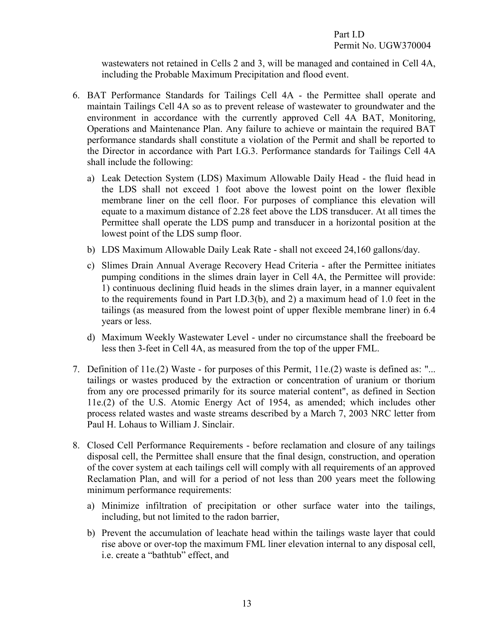<span id="page-16-0"></span>wastewaters not retained in Cells 2 and 3, will be managed and contained in Cell 4A, including the Probable Maximum Precipitation and flood event.

- 6. BAT Performance Standards for Tailings Cell 4A the Permittee shall operate and maintain Tailings Cell 4A so as to prevent release of wastewater to groundwater and the environment in accordance with the currently approved Cell 4A BAT, Monitoring, Operations and Maintenance Plan. Any failure to achieve or maintain the required BAT performance standards shall constitute a violation of the Permit and shall be reported to the Director in accordance with Part I.G.3. Performance standards for Tailings Cell 4A shall include the following:
	- a) Leak Detection System (LDS) Maximum Allowable Daily Head the fluid head in the LDS shall not exceed 1 foot above the lowest point on the lower flexible membrane liner on the cell floor. For purposes of compliance this elevation will equate to a maximum distance of 2.28 feet above the LDS transducer. At all times the Permittee shall operate the LDS pump and transducer in a horizontal position at the lowest point of the LDS sump floor.
	- b) LDS Maximum Allowable Daily Leak Rate shall not exceed 24,160 gallons/day.
	- c) Slimes Drain Annual Average Recovery Head Criteria after the Permittee initiates pumping conditions in the slimes drain layer in Cell 4A, the Permittee will provide: 1) continuous declining fluid heads in the slimes drain layer, in a manner equivalent to the requirements found in Part I.D.3(b), and 2) a maximum head of 1.0 feet in the tailings (as measured from the lowest point of upper flexible membrane liner) in 6.4 years or less.
	- d) Maximum Weekly Wastewater Level under no circumstance shall the freeboard be less then 3-feet in Cell 4A, as measured from the top of the upper FML.
- <span id="page-16-1"></span>7. Definition of 11e.(2) Waste - for purposes of this Permit, 11e.(2) waste is defined as: "... tailings or wastes produced by the extraction or concentration of uranium or thorium from any ore processed primarily for its source material content", as defined in Section 11e.(2) of the U.S. Atomic Energy Act of 1954, as amended; which includes other process related wastes and waste streams described by a March 7, 2003 NRC letter from Paul H. Lohaus to William J. Sinclair.
- <span id="page-16-2"></span>8. Closed Cell Performance Requirements - before reclamation and closure of any tailings disposal cell, the Permittee shall ensure that the final design, construction, and operation of the cover system at each tailings cell will comply with all requirements of an approved Reclamation Plan, and will for a period of not less than 200 years meet the following minimum performance requirements:
	- a) Minimize infiltration of precipitation or other surface water into the tailings, including, but not limited to the radon barrier,
	- b) Prevent the accumulation of leachate head within the tailings waste layer that could rise above or over-top the maximum FML liner elevation internal to any disposal cell, i.e. create a "bathtub" effect, and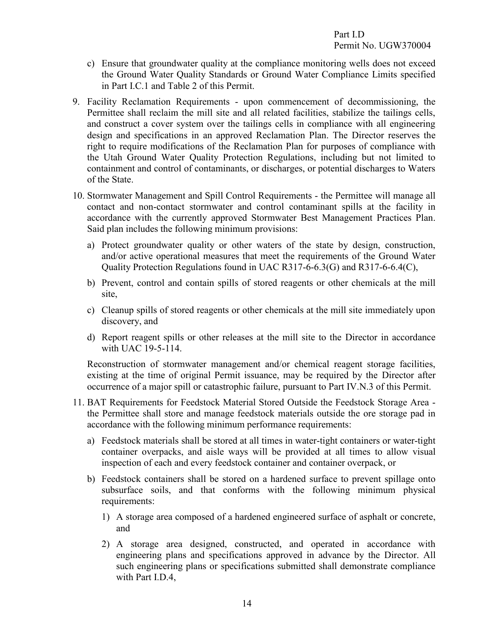- <span id="page-17-0"></span>c) Ensure that groundwater quality at the compliance monitoring wells does not exceed the Ground Water Quality Standards or Ground Water Compliance Limits specified in Part I.C.1 and Table 2 of this Permit.
- 9. Facility Reclamation Requirements upon commencement of decommissioning, the Permittee shall reclaim the mill site and all related facilities, stabilize the tailings cells, and construct a cover system over the tailings cells in compliance with all engineering design and specifications in an approved Reclamation Plan. The Director reserves the right to require modifications of the Reclamation Plan for purposes of compliance with the Utah Ground Water Quality Protection Regulations, including but not limited to containment and control of contaminants, or discharges, or potential discharges to Waters of the State.
- <span id="page-17-1"></span>10. Stormwater Management and Spill Control Requirements - the Permittee will manage all contact and non-contact stormwater and control contaminant spills at the facility in accordance with the currently approved Stormwater Best Management Practices Plan. Said plan includes the following minimum provisions:
	- a) Protect groundwater quality or other waters of the state by design, construction, and/or active operational measures that meet the requirements of the Ground Water Quality Protection Regulations found in UAC R317-6-6.3(G) and R317-6-6.4(C),
	- b) Prevent, control and contain spills of stored reagents or other chemicals at the mill site,
	- c) Cleanup spills of stored reagents or other chemicals at the mill site immediately upon discovery, and
	- d) Report reagent spills or other releases at the mill site to the Director in accordance with UAC 19-5-114.

<span id="page-17-2"></span>Reconstruction of stormwater management and/or chemical reagent storage facilities, existing at the time of original Permit issuance, may be required by the Director after occurrence of a major spill or catastrophic failure, pursuant to Part IV.N.3 of this Permit.

- 11. BAT Requirements for Feedstock Material Stored Outside the Feedstock Storage Area the Permittee shall store and manage feedstock materials outside the ore storage pad in accordance with the following minimum performance requirements:
	- a) Feedstock materials shall be stored at all times in water-tight containers or water-tight container overpacks, and aisle ways will be provided at all times to allow visual inspection of each and every feedstock container and container overpack, or
	- b) Feedstock containers shall be stored on a hardened surface to prevent spillage onto subsurface soils, and that conforms with the following minimum physical requirements:
		- 1) A storage area composed of a hardened engineered surface of asphalt or concrete, and
		- 2) A storage area designed, constructed, and operated in accordance with engineering plans and specifications approved in advance by the Director. All such engineering plans or specifications submitted shall demonstrate compliance with Part I.D.4,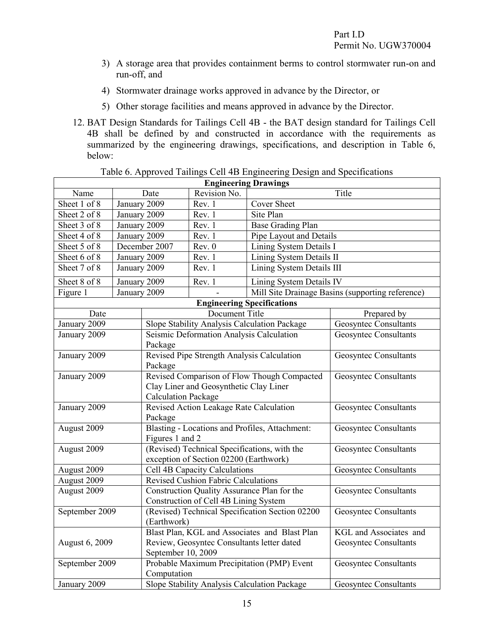- 3) A storage area that provides containment berms to control stormwater run-on and run-off, and
- 4) Stormwater drainage works approved in advance by the Director, or
- <span id="page-18-0"></span>5) Other storage facilities and means approved in advance by the Director.
- 12. BAT Design Standards for Tailings Cell 4B the BAT design standard for Tailings Cell 4B shall be defined by and constructed in accordance with the requirements as summarized by the engineering drawings, specifications, and description in Table 6, below:

| <b>Engineering Drawings</b> |              |                                                                   |                                             |                                                 |                                                  |  |  |
|-----------------------------|--------------|-------------------------------------------------------------------|---------------------------------------------|-------------------------------------------------|--------------------------------------------------|--|--|
| Name                        |              | Date                                                              | Revision No.                                |                                                 | Title                                            |  |  |
| Sheet 1 of 8                | January 2009 |                                                                   | Rev. 1                                      | <b>Cover Sheet</b>                              |                                                  |  |  |
| Sheet 2 of 8                | January 2009 |                                                                   | Rev. 1                                      | Site Plan                                       |                                                  |  |  |
| Sheet 3 of 8                | January 2009 |                                                                   | Rev. 1                                      | Base Grading Plan                               |                                                  |  |  |
| Sheet 4 of 8                | January 2009 |                                                                   | Rev. 1                                      | Pipe Layout and Details                         |                                                  |  |  |
| Sheet 5 of 8                |              | December 2007                                                     | Rev. 0                                      | Lining System Details I                         |                                                  |  |  |
| Sheet 6 of 8                | January 2009 |                                                                   | Rev. 1                                      | Lining System Details II                        |                                                  |  |  |
| Sheet 7 of 8                |              | January 2009                                                      | Rev. 1                                      | Lining System Details III                       |                                                  |  |  |
| Sheet 8 of 8                | January 2009 |                                                                   | Rev. 1                                      | Lining System Details IV                        |                                                  |  |  |
| Figure 1                    |              | January 2009                                                      |                                             |                                                 | Mill Site Drainage Basins (supporting reference) |  |  |
|                             |              |                                                                   |                                             | <b>Engineering Specifications</b>               |                                                  |  |  |
| Date                        |              |                                                                   | Document Title                              |                                                 | Prepared by                                      |  |  |
| January 2009                |              |                                                                   |                                             | Slope Stability Analysis Calculation Package    | <b>Geosyntec Consultants</b>                     |  |  |
| January 2009                |              | Package                                                           | Seismic Deformation Analysis Calculation    |                                                 | <b>Geosyntec Consultants</b>                     |  |  |
| January 2009                |              | Package                                                           | Revised Pipe Strength Analysis Calculation  | <b>Geosyntec Consultants</b>                    |                                                  |  |  |
| January 2009                |              |                                                                   |                                             | Revised Comparison of Flow Though Compacted     | <b>Geosyntec Consultants</b>                     |  |  |
|                             |              |                                                                   | Clay Liner and Geosynthetic Clay Liner      |                                                 |                                                  |  |  |
|                             |              | <b>Calculation Package</b>                                        |                                             |                                                 |                                                  |  |  |
| January 2009                |              |                                                                   | Revised Action Leakage Rate Calculation     | <b>Geosyntec Consultants</b>                    |                                                  |  |  |
|                             |              | Package                                                           |                                             |                                                 |                                                  |  |  |
| August 2009                 |              | Blasting - Locations and Profiles, Attachment:<br>Figures 1 and 2 |                                             |                                                 | <b>Geosyntec Consultants</b>                     |  |  |
| August 2009                 |              | (Revised) Technical Specifications, with the                      |                                             |                                                 | <b>Geosyntec Consultants</b>                     |  |  |
|                             |              | exception of Section 02200 (Earthwork)                            |                                             |                                                 |                                                  |  |  |
| August 2009                 |              |                                                                   | Cell 4B Capacity Calculations               |                                                 | <b>Geosyntec Consultants</b>                     |  |  |
| August 2009                 |              |                                                                   | <b>Revised Cushion Fabric Calculations</b>  |                                                 |                                                  |  |  |
| August 2009                 |              |                                                                   | Construction Quality Assurance Plan for the |                                                 | Geosyntec Consultants                            |  |  |
|                             |              |                                                                   | Construction of Cell 4B Lining System       |                                                 |                                                  |  |  |
| September 2009              |              |                                                                   |                                             | (Revised) Technical Specification Section 02200 | <b>Geosyntec Consultants</b>                     |  |  |
|                             |              | (Earthwork)                                                       |                                             |                                                 |                                                  |  |  |
|                             |              |                                                                   |                                             | Blast Plan, KGL and Associates and Blast Plan   | KGL and Associates and                           |  |  |
| August 6, 2009              |              | September 10, 2009                                                | Review, Geosyntec Consultants letter dated  |                                                 | Geosyntec Consultants                            |  |  |
| September 2009              |              |                                                                   |                                             | Probable Maximum Precipitation (PMP) Event      | <b>Geosyntec Consultants</b>                     |  |  |
|                             |              | Computation                                                       |                                             |                                                 |                                                  |  |  |
| January 2009                |              |                                                                   |                                             | Slope Stability Analysis Calculation Package    | <b>Geosyntec Consultants</b>                     |  |  |

#### <span id="page-18-1"></span>Table 6. Approved Tailings Cell 4B Engineering Design and Specifications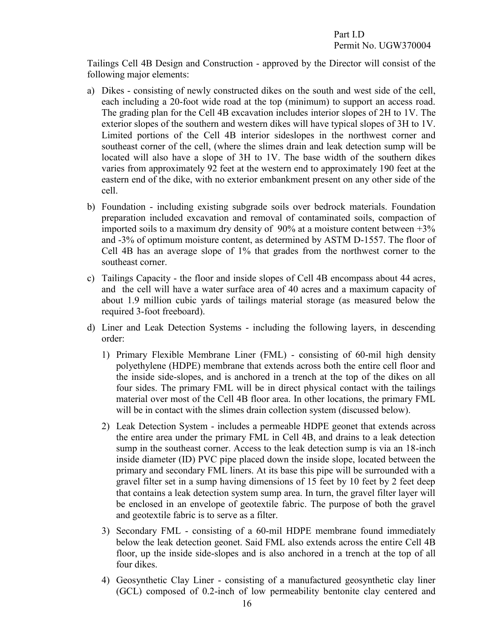Tailings Cell 4B Design and Construction - approved by the Director will consist of the following major elements:

- a) Dikes consisting of newly constructed dikes on the south and west side of the cell, each including a 20-foot wide road at the top (minimum) to support an access road. The grading plan for the Cell 4B excavation includes interior slopes of 2H to 1V. The exterior slopes of the southern and western dikes will have typical slopes of 3H to 1V. Limited portions of the Cell 4B interior sideslopes in the northwest corner and southeast corner of the cell, (where the slimes drain and leak detection sump will be located will also have a slope of 3H to 1V. The base width of the southern dikes varies from approximately 92 feet at the western end to approximately 190 feet at the eastern end of the dike, with no exterior embankment present on any other side of the cell.
- b) Foundation including existing subgrade soils over bedrock materials. Foundation preparation included excavation and removal of contaminated soils, compaction of imported soils to a maximum dry density of  $90\%$  at a moisture content between  $+3\%$ and -3% of optimum moisture content, as determined by ASTM D-1557. The floor of Cell 4B has an average slope of 1% that grades from the northwest corner to the southeast corner.
- c) Tailings Capacity the floor and inside slopes of Cell 4B encompass about 44 acres, and the cell will have a water surface area of 40 acres and a maximum capacity of about 1.9 million cubic yards of tailings material storage (as measured below the required 3-foot freeboard).
- d) Liner and Leak Detection Systems including the following layers, in descending order:
	- 1) Primary Flexible Membrane Liner (FML) consisting of 60-mil high density polyethylene (HDPE) membrane that extends across both the entire cell floor and the inside side-slopes, and is anchored in a trench at the top of the dikes on all four sides. The primary FML will be in direct physical contact with the tailings material over most of the Cell 4B floor area. In other locations, the primary FML will be in contact with the slimes drain collection system (discussed below).
	- 2) Leak Detection System includes a permeable HDPE geonet that extends across the entire area under the primary FML in Cell 4B, and drains to a leak detection sump in the southeast corner. Access to the leak detection sump is via an 18-inch inside diameter (ID) PVC pipe placed down the inside slope, located between the primary and secondary FML liners. At its base this pipe will be surrounded with a gravel filter set in a sump having dimensions of 15 feet by 10 feet by 2 feet deep that contains a leak detection system sump area. In turn, the gravel filter layer will be enclosed in an envelope of geotextile fabric. The purpose of both the gravel and geotextile fabric is to serve as a filter.
	- 3) Secondary FML consisting of a 60-mil HDPE membrane found immediately below the leak detection geonet. Said FML also extends across the entire Cell 4B floor, up the inside side-slopes and is also anchored in a trench at the top of all four dikes.
	- 4) Geosynthetic Clay Liner consisting of a manufactured geosynthetic clay liner (GCL) composed of 0.2-inch of low permeability bentonite clay centered and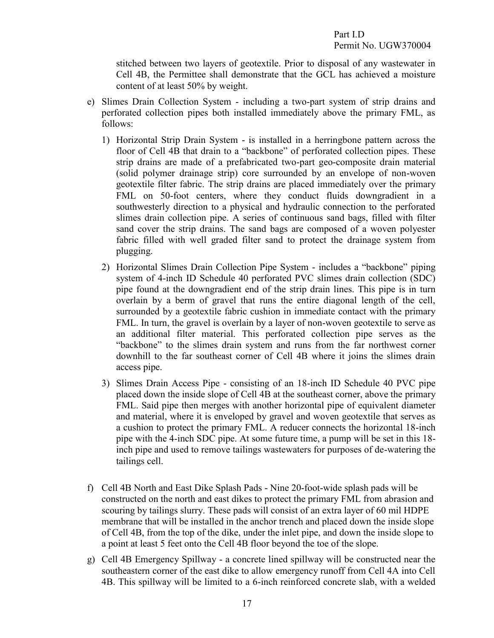stitched between two layers of geotextile. Prior to disposal of any wastewater in Cell 4B, the Permittee shall demonstrate that the GCL has achieved a moisture content of at least 50% by weight.

- e) Slimes Drain Collection System including a two-part system of strip drains and perforated collection pipes both installed immediately above the primary FML, as follows:
	- 1) Horizontal Strip Drain System is installed in a herringbone pattern across the floor of Cell 4B that drain to a "backbone" of perforated collection pipes. These strip drains are made of a prefabricated two-part geo-composite drain material (solid polymer drainage strip) core surrounded by an envelope of non-woven geotextile filter fabric. The strip drains are placed immediately over the primary FML on 50-foot centers, where they conduct fluids downgradient in a southwesterly direction to a physical and hydraulic connection to the perforated slimes drain collection pipe. A series of continuous sand bags, filled with filter sand cover the strip drains. The sand bags are composed of a woven polyester fabric filled with well graded filter sand to protect the drainage system from plugging.
	- 2) Horizontal Slimes Drain Collection Pipe System includes a "backbone" piping system of 4-inch ID Schedule 40 perforated PVC slimes drain collection (SDC) pipe found at the downgradient end of the strip drain lines. This pipe is in turn overlain by a berm of gravel that runs the entire diagonal length of the cell, surrounded by a geotextile fabric cushion in immediate contact with the primary FML. In turn, the gravel is overlain by a layer of non-woven geotextile to serve as an additional filter material. This perforated collection pipe serves as the "backbone" to the slimes drain system and runs from the far northwest corner downhill to the far southeast corner of Cell 4B where it joins the slimes drain access pipe.
	- 3) Slimes Drain Access Pipe consisting of an 18-inch ID Schedule 40 PVC pipe placed down the inside slope of Cell 4B at the southeast corner, above the primary FML. Said pipe then merges with another horizontal pipe of equivalent diameter and material, where it is enveloped by gravel and woven geotextile that serves as a cushion to protect the primary FML. A reducer connects the horizontal 18-inch pipe with the 4-inch SDC pipe. At some future time, a pump will be set in this 18 inch pipe and used to remove tailings wastewaters for purposes of de-watering the tailings cell.
- f) Cell 4B North and East Dike Splash Pads Nine 20-foot-wide splash pads will be constructed on the north and east dikes to protect the primary FML from abrasion and scouring by tailings slurry. These pads will consist of an extra layer of 60 mil HDPE membrane that will be installed in the anchor trench and placed down the inside slope of Cell 4B, from the top of the dike, under the inlet pipe, and down the inside slope to a point at least 5 feet onto the Cell 4B floor beyond the toe of the slope.
- g) Cell 4B Emergency Spillway a concrete lined spillway will be constructed near the southeastern corner of the east dike to allow emergency runoff from Cell 4A into Cell 4B. This spillway will be limited to a 6-inch reinforced concrete slab, with a welded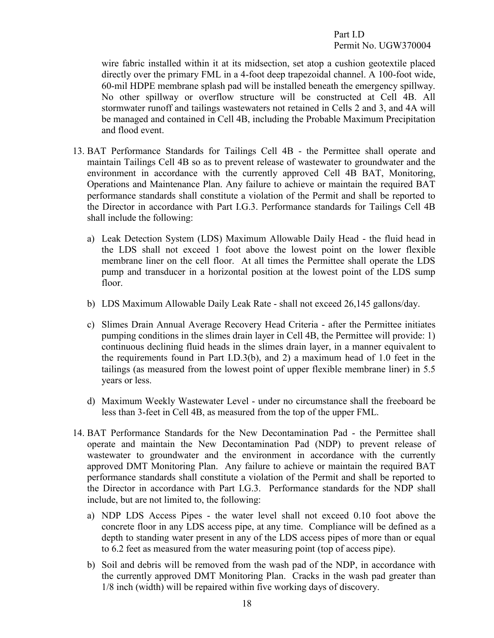<span id="page-21-0"></span>wire fabric installed within it at its midsection, set atop a cushion geotextile placed directly over the primary FML in a 4-foot deep trapezoidal channel. A 100-foot wide, 60-mil HDPE membrane splash pad will be installed beneath the emergency spillway. No other spillway or overflow structure will be constructed at Cell 4B. All stormwater runoff and tailings wastewaters not retained in Cells 2 and 3, and 4A will be managed and contained in Cell 4B, including the Probable Maximum Precipitation and flood event.

- 13. BAT Performance Standards for Tailings Cell 4B the Permittee shall operate and maintain Tailings Cell 4B so as to prevent release of wastewater to groundwater and the environment in accordance with the currently approved Cell 4B BAT, Monitoring, Operations and Maintenance Plan. Any failure to achieve or maintain the required BAT performance standards shall constitute a violation of the Permit and shall be reported to the Director in accordance with Part I.G.3. Performance standards for Tailings Cell 4B shall include the following:
	- a) Leak Detection System (LDS) Maximum Allowable Daily Head the fluid head in the LDS shall not exceed 1 foot above the lowest point on the lower flexible membrane liner on the cell floor. At all times the Permittee shall operate the LDS pump and transducer in a horizontal position at the lowest point of the LDS sump floor.
	- b) LDS Maximum Allowable Daily Leak Rate shall not exceed 26,145 gallons/day.
	- c) Slimes Drain Annual Average Recovery Head Criteria after the Permittee initiates pumping conditions in the slimes drain layer in Cell 4B, the Permittee will provide: 1) continuous declining fluid heads in the slimes drain layer, in a manner equivalent to the requirements found in Part I.D.3(b), and 2) a maximum head of 1.0 feet in the tailings (as measured from the lowest point of upper flexible membrane liner) in 5.5 years or less.
	- d) Maximum Weekly Wastewater Level under no circumstance shall the freeboard be less than 3-feet in Cell 4B, as measured from the top of the upper FML.
- <span id="page-21-1"></span>14. BAT Performance Standards for the New Decontamination Pad - the Permittee shall operate and maintain the New Decontamination Pad (NDP) to prevent release of wastewater to groundwater and the environment in accordance with the currently approved DMT Monitoring Plan. Any failure to achieve or maintain the required BAT performance standards shall constitute a violation of the Permit and shall be reported to the Director in accordance with Part I.G.3. Performance standards for the NDP shall include, but are not limited to, the following:
	- a) NDP LDS Access Pipes the water level shall not exceed 0.10 foot above the concrete floor in any LDS access pipe, at any time. Compliance will be defined as a depth to standing water present in any of the LDS access pipes of more than or equal to 6.2 feet as measured from the water measuring point (top of access pipe).
	- b) Soil and debris will be removed from the wash pad of the NDP, in accordance with the currently approved DMT Monitoring Plan. Cracks in the wash pad greater than 1/8 inch (width) will be repaired within five working days of discovery.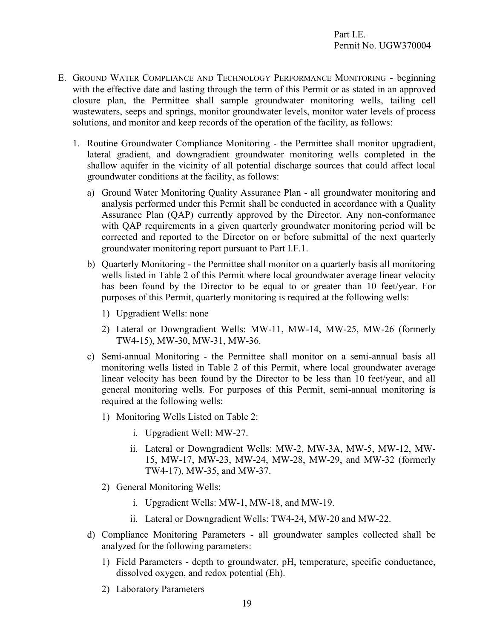- <span id="page-22-1"></span><span id="page-22-0"></span>E. GROUND WATER COMPLIANCE AND TECHNOLOGY PERFORMANCE MONITORING - beginning with the effective date and lasting through the term of this Permit or as stated in an approved closure plan, the Permittee shall sample groundwater monitoring wells, tailing cell wastewaters, seeps and springs, monitor groundwater levels, monitor water levels of process solutions, and monitor and keep records of the operation of the facility, as follows:
	- 1. Routine Groundwater Compliance Monitoring the Permittee shall monitor upgradient, lateral gradient, and downgradient groundwater monitoring wells completed in the shallow aquifer in the vicinity of all potential discharge sources that could affect local groundwater conditions at the facility, as follows:
		- a) Ground Water Monitoring Quality Assurance Plan all groundwater monitoring and analysis performed under this Permit shall be conducted in accordance with a Quality Assurance Plan (QAP) currently approved by the Director. Any non-conformance with QAP requirements in a given quarterly groundwater monitoring period will be corrected and reported to the Director on or before submittal of the next quarterly groundwater monitoring report pursuant to Part I.F.1.
		- b) Quarterly Monitoring the Permittee shall monitor on a quarterly basis all monitoring wells listed in Table 2 of this Permit where local groundwater average linear velocity has been found by the Director to be equal to or greater than 10 feet/year. For purposes of this Permit, quarterly monitoring is required at the following wells:
			- 1) Upgradient Wells: none
			- 2) Lateral or Downgradient Wells: MW-11, MW-14, MW-25, MW-26 (formerly TW4-15), MW-30, MW-31, MW-36.
		- c) Semi-annual Monitoring the Permittee shall monitor on a semi-annual basis all monitoring wells listed in Table 2 of this Permit, where local groundwater average linear velocity has been found by the Director to be less than 10 feet/year, and all general monitoring wells. For purposes of this Permit, semi-annual monitoring is required at the following wells:
			- 1) Monitoring Wells Listed on Table 2:
				- i. Upgradient Well: MW-27.
				- ii. Lateral or Downgradient Wells: MW-2, MW-3A, MW-5, MW-12, MW-15, MW-17, MW-23, MW-24, MW-28, MW-29, and MW-32 (formerly TW4-17), MW-35, and MW-37.
			- 2) General Monitoring Wells:
				- i. Upgradient Wells: MW-1, MW-18, and MW-19.
				- ii. Lateral or Downgradient Wells: TW4-24, MW-20 and MW-22.
		- d) Compliance Monitoring Parameters all groundwater samples collected shall be analyzed for the following parameters:
			- 1) Field Parameters depth to groundwater, pH, temperature, specific conductance, dissolved oxygen, and redox potential (Eh).
			- 2) Laboratory Parameters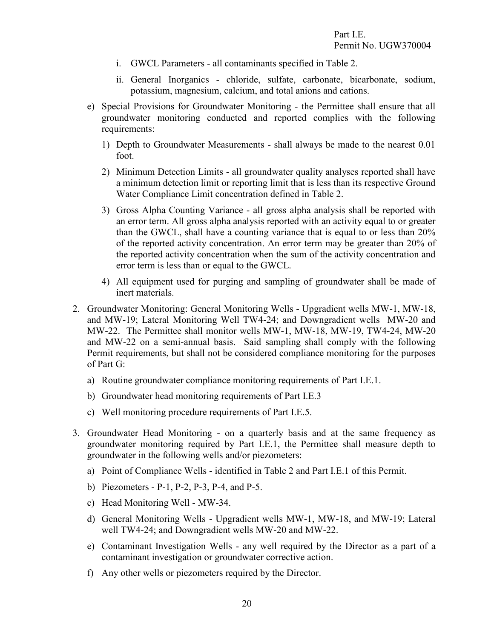- i. GWCL Parameters all contaminants specified in Table 2.
- ii. General Inorganics chloride, sulfate, carbonate, bicarbonate, sodium, potassium, magnesium, calcium, and total anions and cations.
- e) Special Provisions for Groundwater Monitoring the Permittee shall ensure that all groundwater monitoring conducted and reported complies with the following requirements:
	- 1) Depth to Groundwater Measurements shall always be made to the nearest 0.01 foot.
	- 2) Minimum Detection Limits all groundwater quality analyses reported shall have a minimum detection limit or reporting limit that is less than its respective Ground Water Compliance Limit concentration defined in Table 2.
	- 3) Gross Alpha Counting Variance all gross alpha analysis shall be reported with an error term. All gross alpha analysis reported with an activity equal to or greater than the GWCL, shall have a counting variance that is equal to or less than 20% of the reported activity concentration. An error term may be greater than 20% of the reported activity concentration when the sum of the activity concentration and error term is less than or equal to the GWCL.
	- 4) All equipment used for purging and sampling of groundwater shall be made of inert materials.
- <span id="page-23-0"></span>2. Groundwater Monitoring: General Monitoring Wells - Upgradient wells MW-1, MW-18, and MW-19; Lateral Monitoring Well TW4-24; and Downgradient wells MW-20 and MW-22. The Permittee shall monitor wells MW-1, MW-18, MW-19, TW4-24, MW-20 and MW-22 on a semi-annual basis. Said sampling shall comply with the following Permit requirements, but shall not be considered compliance monitoring for the purposes of Part G:
	- a) Routine groundwater compliance monitoring requirements of Part I.E.1.
	- b) Groundwater head monitoring requirements of Part I.E.3
	- c) Well monitoring procedure requirements of Part I.E.5.
- <span id="page-23-1"></span>3. Groundwater Head Monitoring - on a quarterly basis and at the same frequency as groundwater monitoring required by Part I.E.1, the Permittee shall measure depth to groundwater in the following wells and/or piezometers:
	- a) Point of Compliance Wells identified in Table 2 and Part I.E.1 of this Permit.
	- b) Piezometers P-1, P-2, P-3, P-4, and P-5.
	- c) Head Monitoring Well MW-34.
	- d) General Monitoring Wells Upgradient wells MW-1, MW-18, and MW-19; Lateral well TW4-24; and Downgradient wells MW-20 and MW-22.
	- e) Contaminant Investigation Wells any well required by the Director as a part of a contaminant investigation or groundwater corrective action.
	- f) Any other wells or piezometers required by the Director.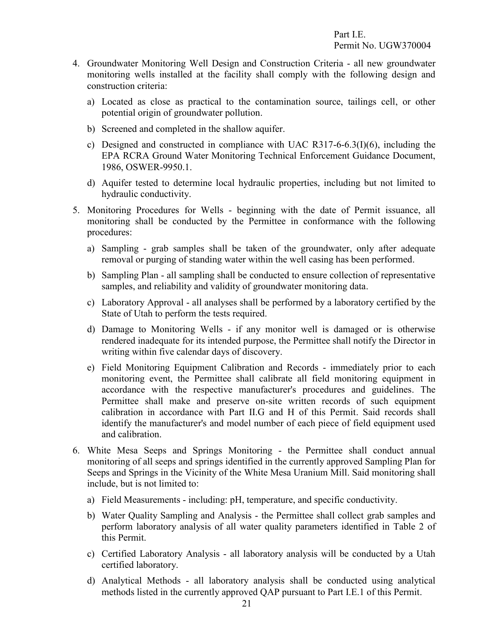- <span id="page-24-0"></span>4. Groundwater Monitoring Well Design and Construction Criteria - all new groundwater monitoring wells installed at the facility shall comply with the following design and construction criteria:
	- a) Located as close as practical to the contamination source, tailings cell, or other potential origin of groundwater pollution.
	- b) Screened and completed in the shallow aquifer.
	- c) Designed and constructed in compliance with UAC R317-6-6.3(I)(6), including the EPA RCRA Ground Water Monitoring Technical Enforcement Guidance Document, 1986, OSWER-9950.1.
	- d) Aquifer tested to determine local hydraulic properties, including but not limited to hydraulic conductivity.
- <span id="page-24-1"></span>5. Monitoring Procedures for Wells - beginning with the date of Permit issuance, all monitoring shall be conducted by the Permittee in conformance with the following procedures:
	- a) Sampling grab samples shall be taken of the groundwater, only after adequate removal or purging of standing water within the well casing has been performed.
	- b) Sampling Plan all sampling shall be conducted to ensure collection of representative samples, and reliability and validity of groundwater monitoring data.
	- c) Laboratory Approval all analyses shall be performed by a laboratory certified by the State of Utah to perform the tests required.
	- d) Damage to Monitoring Wells if any monitor well is damaged or is otherwise rendered inadequate for its intended purpose, the Permittee shall notify the Director in writing within five calendar days of discovery.
	- e) Field Monitoring Equipment Calibration and Records immediately prior to each monitoring event, the Permittee shall calibrate all field monitoring equipment in accordance with the respective manufacturer's procedures and guidelines. The Permittee shall make and preserve on-site written records of such equipment calibration in accordance with Part II.G and H of this Permit. Said records shall identify the manufacturer's and model number of each piece of field equipment used and calibration.
- <span id="page-24-2"></span>6. White Mesa Seeps and Springs Monitoring - the Permittee shall conduct annual monitoring of all seeps and springs identified in the currently approved Sampling Plan for Seeps and Springs in the Vicinity of the White Mesa Uranium Mill. Said monitoring shall include, but is not limited to:
	- a) Field Measurements including: pH, temperature, and specific conductivity.
	- b) Water Quality Sampling and Analysis the Permittee shall collect grab samples and perform laboratory analysis of all water quality parameters identified in Table 2 of this Permit.
	- c) Certified Laboratory Analysis all laboratory analysis will be conducted by a Utah certified laboratory.
	- d) Analytical Methods all laboratory analysis shall be conducted using analytical methods listed in the currently approved QAP pursuant to Part I.E.1 of this Permit.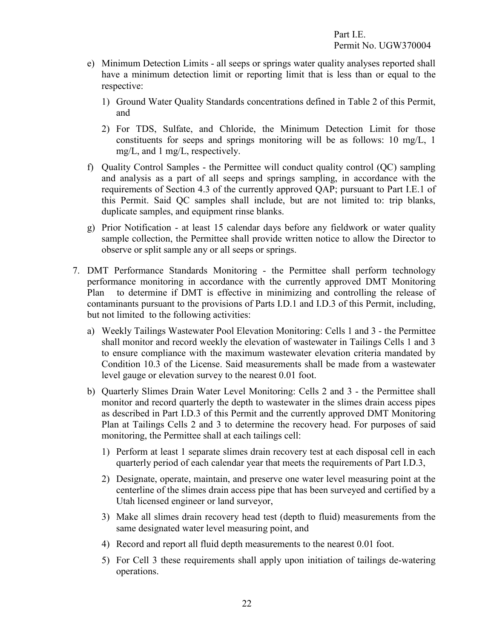- e) Minimum Detection Limits all seeps or springs water quality analyses reported shall have a minimum detection limit or reporting limit that is less than or equal to the respective:
	- 1) Ground Water Quality Standards concentrations defined in Table 2 of this Permit, and
	- 2) For TDS, Sulfate, and Chloride, the Minimum Detection Limit for those constituents for seeps and springs monitoring will be as follows: 10 mg/L, 1 mg/L, and 1 mg/L, respectively.
- f) Quality Control Samples the Permittee will conduct quality control (QC) sampling and analysis as a part of all seeps and springs sampling, in accordance with the requirements of Section 4.3 of the currently approved QAP; pursuant to Part I.E.1 of this Permit. Said QC samples shall include, but are not limited to: trip blanks, duplicate samples, and equipment rinse blanks.
- <span id="page-25-0"></span>g) Prior Notification - at least 15 calendar days before any fieldwork or water quality sample collection, the Permittee shall provide written notice to allow the Director to observe or split sample any or all seeps or springs.
- 7. DMT Performance Standards Monitoring the Permittee shall perform technology performance monitoring in accordance with the currently approved DMT Monitoring Plan to determine if DMT is effective in minimizing and controlling the release of contaminants pursuant to the provisions of Parts I.D.1 and I.D.3 of this Permit, including, but not limited to the following activities:
	- a) Weekly Tailings Wastewater Pool Elevation Monitoring: Cells 1 and 3 the Permittee shall monitor and record weekly the elevation of wastewater in Tailings Cells 1 and 3 to ensure compliance with the maximum wastewater elevation criteria mandated by Condition 10.3 of the License. Said measurements shall be made from a wastewater level gauge or elevation survey to the nearest 0.01 foot.
	- b) Quarterly Slimes Drain Water Level Monitoring: Cells 2 and 3 the Permittee shall monitor and record quarterly the depth to wastewater in the slimes drain access pipes as described in Part I.D.3 of this Permit and the currently approved DMT Monitoring Plan at Tailings Cells 2 and 3 to determine the recovery head. For purposes of said monitoring, the Permittee shall at each tailings cell:
		- 1) Perform at least 1 separate slimes drain recovery test at each disposal cell in each quarterly period of each calendar year that meets the requirements of Part I.D.3,
		- 2) Designate, operate, maintain, and preserve one water level measuring point at the centerline of the slimes drain access pipe that has been surveyed and certified by a Utah licensed engineer or land surveyor,
		- 3) Make all slimes drain recovery head test (depth to fluid) measurements from the same designated water level measuring point, and
		- 4) Record and report all fluid depth measurements to the nearest 0.01 foot.
		- 5) For Cell 3 these requirements shall apply upon initiation of tailings de-watering operations.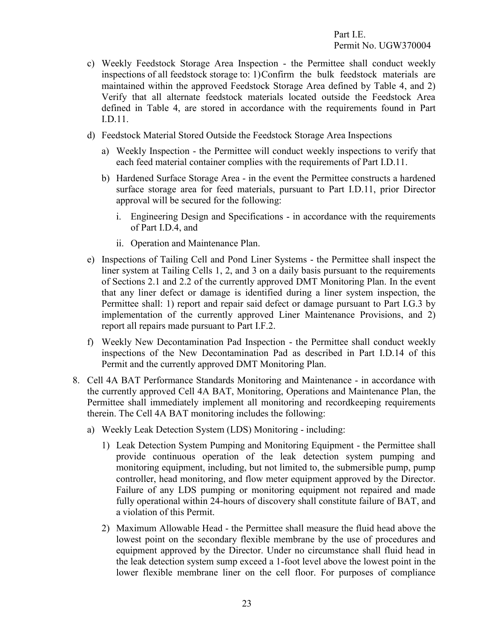- c) Weekly Feedstock Storage Area Inspection the Permittee shall conduct weekly inspections of all feedstock storage to: 1)Confirm the bulk feedstock materials are maintained within the approved Feedstock Storage Area defined by Table 4, and 2) Verify that all alternate feedstock materials located outside the Feedstock Area defined in Table 4, are stored in accordance with the requirements found in Part I.D.11.
- d) Feedstock Material Stored Outside the Feedstock Storage Area Inspections
	- a) Weekly Inspection the Permittee will conduct weekly inspections to verify that each feed material container complies with the requirements of Part I.D.11.
	- b) Hardened Surface Storage Area in the event the Permittee constructs a hardened surface storage area for feed materials, pursuant to Part I.D.11, prior Director approval will be secured for the following:
		- i. Engineering Design and Specifications in accordance with the requirements of Part I.D.4, and
		- ii. Operation and Maintenance Plan.
- e) Inspections of Tailing Cell and Pond Liner Systems the Permittee shall inspect the liner system at Tailing Cells 1, 2, and 3 on a daily basis pursuant to the requirements of Sections 2.1 and 2.2 of the currently approved DMT Monitoring Plan. In the event that any liner defect or damage is identified during a liner system inspection, the Permittee shall: 1) report and repair said defect or damage pursuant to Part I.G.3 by implementation of the currently approved Liner Maintenance Provisions, and 2) report all repairs made pursuant to Part I.F.2.
- <span id="page-26-0"></span>f) Weekly New Decontamination Pad Inspection - the Permittee shall conduct weekly inspections of the New Decontamination Pad as described in Part I.D.14 of this Permit and the currently approved DMT Monitoring Plan.
- 8. Cell 4A BAT Performance Standards Monitoring and Maintenance in accordance with the currently approved Cell 4A BAT, Monitoring, Operations and Maintenance Plan, the Permittee shall immediately implement all monitoring and recordkeeping requirements therein. The Cell 4A BAT monitoring includes the following:
	- a) Weekly Leak Detection System (LDS) Monitoring including:
		- 1) Leak Detection System Pumping and Monitoring Equipment the Permittee shall provide continuous operation of the leak detection system pumping and monitoring equipment, including, but not limited to, the submersible pump, pump controller, head monitoring, and flow meter equipment approved by the Director. Failure of any LDS pumping or monitoring equipment not repaired and made fully operational within 24-hours of discovery shall constitute failure of BAT, and a violation of this Permit.
		- 2) Maximum Allowable Head the Permittee shall measure the fluid head above the lowest point on the secondary flexible membrane by the use of procedures and equipment approved by the Director. Under no circumstance shall fluid head in the leak detection system sump exceed a 1-foot level above the lowest point in the lower flexible membrane liner on the cell floor. For purposes of compliance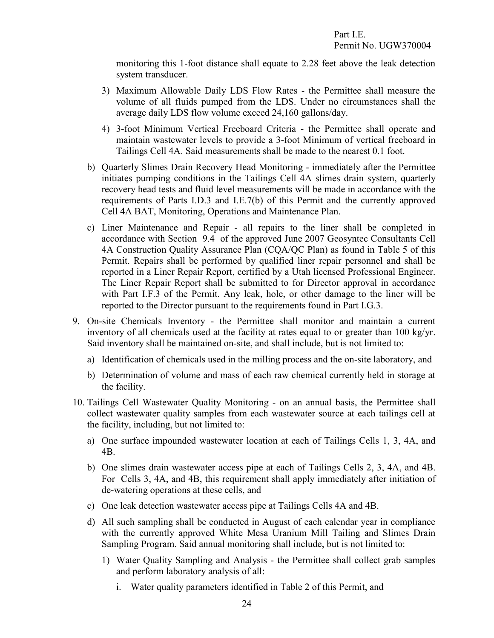monitoring this 1-foot distance shall equate to 2.28 feet above the leak detection system transducer.

- 3) Maximum Allowable Daily LDS Flow Rates the Permittee shall measure the volume of all fluids pumped from the LDS. Under no circumstances shall the average daily LDS flow volume exceed 24,160 gallons/day.
- 4) 3-foot Minimum Vertical Freeboard Criteria the Permittee shall operate and maintain wastewater levels to provide a 3-foot Minimum of vertical freeboard in Tailings Cell 4A. Said measurements shall be made to the nearest 0.1 foot.
- b) Quarterly Slimes Drain Recovery Head Monitoring immediately after the Permittee initiates pumping conditions in the Tailings Cell 4A slimes drain system, quarterly recovery head tests and fluid level measurements will be made in accordance with the requirements of Parts I.D.3 and I.E.7(b) of this Permit and the currently approved Cell 4A BAT, Monitoring, Operations and Maintenance Plan.
- c) Liner Maintenance and Repair all repairs to the liner shall be completed in accordance with Section 9.4 of the approved June 2007 Geosyntec Consultants Cell 4A Construction Quality Assurance Plan (CQA/QC Plan) as found in Table 5 of this Permit. Repairs shall be performed by qualified liner repair personnel and shall be reported in a Liner Repair Report, certified by a Utah licensed Professional Engineer. The Liner Repair Report shall be submitted to for Director approval in accordance with Part I.F.3 of the Permit. Any leak, hole, or other damage to the liner will be reported to the Director pursuant to the requirements found in Part I.G.3.
- <span id="page-27-0"></span>9. On-site Chemicals Inventory - the Permittee shall monitor and maintain a current inventory of all chemicals used at the facility at rates equal to or greater than 100 kg/yr. Said inventory shall be maintained on-site, and shall include, but is not limited to:
	- a) Identification of chemicals used in the milling process and the on-site laboratory, and
	- b) Determination of volume and mass of each raw chemical currently held in storage at the facility.
- <span id="page-27-1"></span>10. Tailings Cell Wastewater Quality Monitoring - on an annual basis, the Permittee shall collect wastewater quality samples from each wastewater source at each tailings cell at the facility, including, but not limited to:
	- a) One surface impounded wastewater location at each of Tailings Cells 1, 3, 4A, and 4B.
	- b) One slimes drain wastewater access pipe at each of Tailings Cells 2, 3, 4A, and 4B. For Cells 3, 4A, and 4B, this requirement shall apply immediately after initiation of de-watering operations at these cells, and
	- c) One leak detection wastewater access pipe at Tailings Cells 4A and 4B.
	- d) All such sampling shall be conducted in August of each calendar year in compliance with the currently approved White Mesa Uranium Mill Tailing and Slimes Drain Sampling Program. Said annual monitoring shall include, but is not limited to:
		- 1) Water Quality Sampling and Analysis the Permittee shall collect grab samples and perform laboratory analysis of all:
			- i. Water quality parameters identified in Table 2 of this Permit, and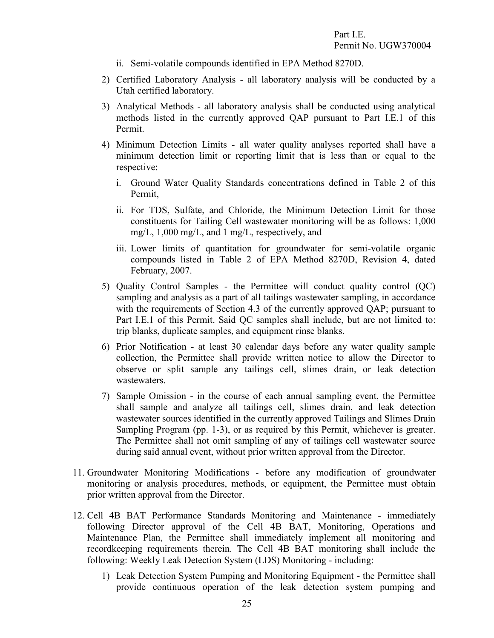- ii. Semi-volatile compounds identified in EPA Method 8270D.
- 2) Certified Laboratory Analysis all laboratory analysis will be conducted by a Utah certified laboratory.
- 3) Analytical Methods all laboratory analysis shall be conducted using analytical methods listed in the currently approved QAP pursuant to Part I.E.1 of this Permit.
- 4) Minimum Detection Limits all water quality analyses reported shall have a minimum detection limit or reporting limit that is less than or equal to the respective:
	- i. Ground Water Quality Standards concentrations defined in Table 2 of this Permit,
	- ii. For TDS, Sulfate, and Chloride, the Minimum Detection Limit for those constituents for Tailing Cell wastewater monitoring will be as follows: 1,000 mg/L, 1,000 mg/L, and 1 mg/L, respectively, and
	- iii. Lower limits of quantitation for groundwater for semi-volatile organic compounds listed in Table 2 of EPA Method 8270D, Revision 4, dated February, 2007.
- 5) Quality Control Samples the Permittee will conduct quality control (QC) sampling and analysis as a part of all tailings wastewater sampling, in accordance with the requirements of Section 4.3 of the currently approved QAP; pursuant to Part I.E.1 of this Permit. Said QC samples shall include, but are not limited to: trip blanks, duplicate samples, and equipment rinse blanks.
- 6) Prior Notification at least 30 calendar days before any water quality sample collection, the Permittee shall provide written notice to allow the Director to observe or split sample any tailings cell, slimes drain, or leak detection wastewaters.
- <span id="page-28-1"></span><span id="page-28-0"></span>7) Sample Omission - in the course of each annual sampling event, the Permittee shall sample and analyze all tailings cell, slimes drain, and leak detection wastewater sources identified in the currently approved Tailings and Slimes Drain Sampling Program (pp. 1-3), or as required by this Permit, whichever is greater. The Permittee shall not omit sampling of any of tailings cell wastewater source during said annual event, without prior written approval from the Director.
- 11. Groundwater Monitoring Modifications before any modification of groundwater monitoring or analysis procedures, methods, or equipment, the Permittee must obtain prior written approval from the Director.
- 12. Cell 4B BAT Performance Standards Monitoring and Maintenance immediately following Director approval of the Cell 4B BAT, Monitoring, Operations and Maintenance Plan, the Permittee shall immediately implement all monitoring and recordkeeping requirements therein. The Cell 4B BAT monitoring shall include the following: Weekly Leak Detection System (LDS) Monitoring - including:
	- 1) Leak Detection System Pumping and Monitoring Equipment the Permittee shall provide continuous operation of the leak detection system pumping and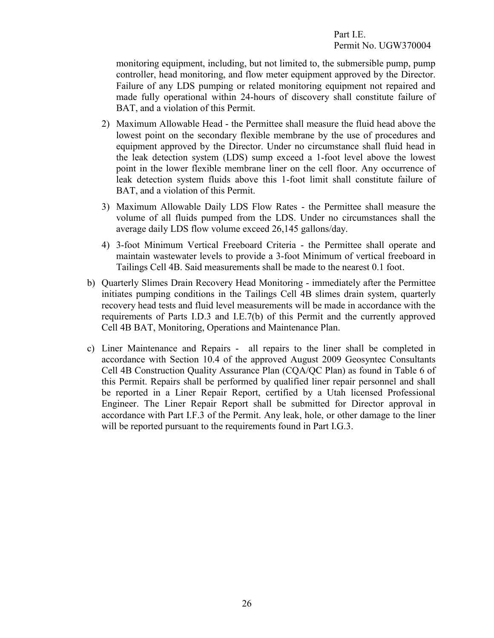monitoring equipment, including, but not limited to, the submersible pump, pump controller, head monitoring, and flow meter equipment approved by the Director. Failure of any LDS pumping or related monitoring equipment not repaired and made fully operational within 24-hours of discovery shall constitute failure of BAT, and a violation of this Permit.

- 2) Maximum Allowable Head the Permittee shall measure the fluid head above the lowest point on the secondary flexible membrane by the use of procedures and equipment approved by the Director. Under no circumstance shall fluid head in the leak detection system (LDS) sump exceed a 1-foot level above the lowest point in the lower flexible membrane liner on the cell floor. Any occurrence of leak detection system fluids above this 1-foot limit shall constitute failure of BAT, and a violation of this Permit.
- 3) Maximum Allowable Daily LDS Flow Rates the Permittee shall measure the volume of all fluids pumped from the LDS. Under no circumstances shall the average daily LDS flow volume exceed 26,145 gallons/day.
- 4) 3-foot Minimum Vertical Freeboard Criteria the Permittee shall operate and maintain wastewater levels to provide a 3-foot Minimum of vertical freeboard in Tailings Cell 4B. Said measurements shall be made to the nearest 0.1 foot.
- b) Quarterly Slimes Drain Recovery Head Monitoring immediately after the Permittee initiates pumping conditions in the Tailings Cell 4B slimes drain system, quarterly recovery head tests and fluid level measurements will be made in accordance with the requirements of Parts I.D.3 and I.E.7(b) of this Permit and the currently approved Cell 4B BAT, Monitoring, Operations and Maintenance Plan.
- c) Liner Maintenance and Repairs all repairs to the liner shall be completed in accordance with Section 10.4 of the approved August 2009 Geosyntec Consultants Cell 4B Construction Quality Assurance Plan (CQA/QC Plan) as found in Table 6 of this Permit. Repairs shall be performed by qualified liner repair personnel and shall be reported in a Liner Repair Report, certified by a Utah licensed Professional Engineer. The Liner Repair Report shall be submitted for Director approval in accordance with Part I.F.3 of the Permit. Any leak, hole, or other damage to the liner will be reported pursuant to the requirements found in Part I.G.3.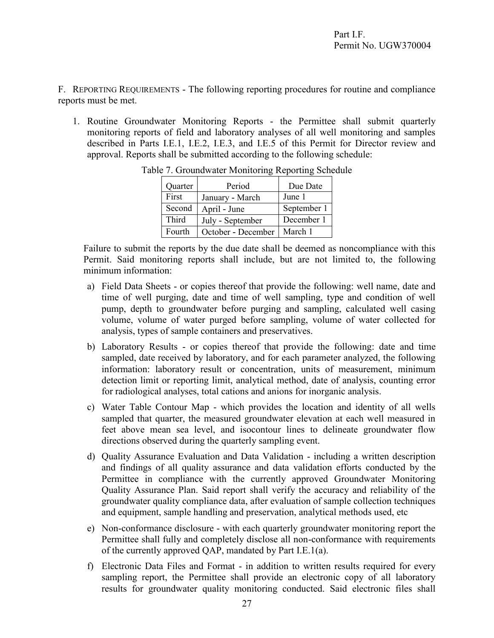F. REPORTING REQUIREMENTS - The following reporting procedures for routine and compliance reports must be met.

1. Routine Groundwater Monitoring Reports - the Permittee shall submit quarterly monitoring reports of field and laboratory analyses of all well monitoring and samples described in Parts I.E.1, I.E.2, I.E.3, and I.E.5 of this Permit for Director review and approval. Reports shall be submitted according to the following schedule:

<span id="page-30-2"></span><span id="page-30-1"></span>

| Quarter | Period             | Due Date    |
|---------|--------------------|-------------|
| First   | January - March    | June 1      |
| Second  | April - June       | September 1 |
| Third   | July - September   | December 1  |
| Fourth  | October - December | March 1     |

<span id="page-30-0"></span>Table 7. Groundwater Monitoring Reporting Schedule

Failure to submit the reports by the due date shall be deemed as noncompliance with this Permit. Said monitoring reports shall include, but are not limited to, the following minimum information:

- a) Field Data Sheets or copies thereof that provide the following: well name, date and time of well purging, date and time of well sampling, type and condition of well pump, depth to groundwater before purging and sampling, calculated well casing volume, volume of water purged before sampling, volume of water collected for analysis, types of sample containers and preservatives.
- b) Laboratory Results or copies thereof that provide the following: date and time sampled, date received by laboratory, and for each parameter analyzed, the following information: laboratory result or concentration, units of measurement, minimum detection limit or reporting limit, analytical method, date of analysis, counting error for radiological analyses, total cations and anions for inorganic analysis.
- c) Water Table Contour Map which provides the location and identity of all wells sampled that quarter, the measured groundwater elevation at each well measured in feet above mean sea level, and isocontour lines to delineate groundwater flow directions observed during the quarterly sampling event.
- d) Quality Assurance Evaluation and Data Validation including a written description and findings of all quality assurance and data validation efforts conducted by the Permittee in compliance with the currently approved Groundwater Monitoring Quality Assurance Plan. Said report shall verify the accuracy and reliability of the groundwater quality compliance data, after evaluation of sample collection techniques and equipment, sample handling and preservation, analytical methods used, etc
- e) Non-conformance disclosure with each quarterly groundwater monitoring report the Permittee shall fully and completely disclose all non-conformance with requirements of the currently approved QAP, mandated by Part I.E.1(a).
- f) Electronic Data Files and Format in addition to written results required for every sampling report, the Permittee shall provide an electronic copy of all laboratory results for groundwater quality monitoring conducted. Said electronic files shall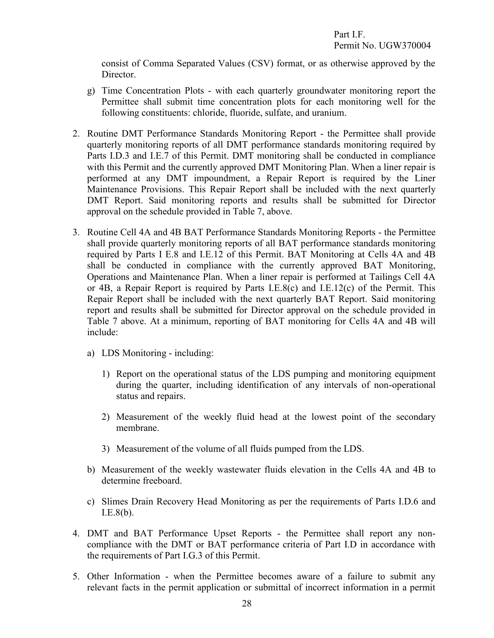<span id="page-31-0"></span>consist of Comma Separated Values (CSV) format, or as otherwise approved by the Director.

- g) Time Concentration Plots with each quarterly groundwater monitoring report the Permittee shall submit time concentration plots for each monitoring well for the following constituents: chloride, fluoride, sulfate, and uranium.
- 2. Routine DMT Performance Standards Monitoring Report the Permittee shall provide quarterly monitoring reports of all DMT performance standards monitoring required by Parts I.D.3 and I.E.7 of this Permit. DMT monitoring shall be conducted in compliance with this Permit and the currently approved DMT Monitoring Plan. When a liner repair is performed at any DMT impoundment, a Repair Report is required by the Liner Maintenance Provisions. This Repair Report shall be included with the next quarterly DMT Report. Said monitoring reports and results shall be submitted for Director approval on the schedule provided in Table 7, above.
- <span id="page-31-1"></span>3. Routine Cell 4A and 4B BAT Performance Standards Monitoring Reports - the Permittee shall provide quarterly monitoring reports of all BAT performance standards monitoring required by Parts I E.8 and I.E.12 of this Permit. BAT Monitoring at Cells 4A and 4B shall be conducted in compliance with the currently approved BAT Monitoring, Operations and Maintenance Plan. When a liner repair is performed at Tailings Cell 4A or 4B, a Repair Report is required by Parts I.E.8(c) and I.E.12(c) of the Permit. This Repair Report shall be included with the next quarterly BAT Report. Said monitoring report and results shall be submitted for Director approval on the schedule provided in Table 7 above. At a minimum, reporting of BAT monitoring for Cells 4A and 4B will include:
	- a) LDS Monitoring including:
		- 1) Report on the operational status of the LDS pumping and monitoring equipment during the quarter, including identification of any intervals of non-operational status and repairs.
		- 2) Measurement of the weekly fluid head at the lowest point of the secondary membrane.
		- 3) Measurement of the volume of all fluids pumped from the LDS.
	- b) Measurement of the weekly wastewater fluids elevation in the Cells 4A and 4B to determine freeboard.
	- c) Slimes Drain Recovery Head Monitoring as per the requirements of Parts I.D.6 and I.E.8(b).
- <span id="page-31-2"></span>4. DMT and BAT Performance Upset Reports - the Permittee shall report any noncompliance with the DMT or BAT performance criteria of Part I.D in accordance with the requirements of Part I.G.3 of this Permit.
- <span id="page-31-3"></span>5. Other Information - when the Permittee becomes aware of a failure to submit any relevant facts in the permit application or submittal of incorrect information in a permit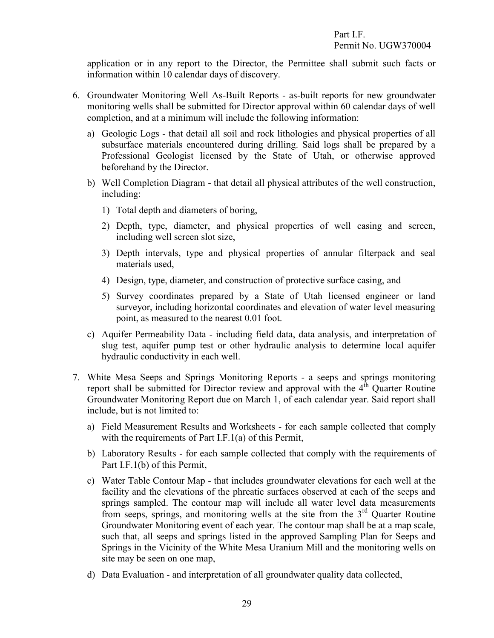<span id="page-32-0"></span>application or in any report to the Director, the Permittee shall submit such facts or information within 10 calendar days of discovery.

- 6. Groundwater Monitoring Well As-Built Reports as-built reports for new groundwater monitoring wells shall be submitted for Director approval within 60 calendar days of well completion, and at a minimum will include the following information:
	- a) Geologic Logs that detail all soil and rock lithologies and physical properties of all subsurface materials encountered during drilling. Said logs shall be prepared by a Professional Geologist licensed by the State of Utah, or otherwise approved beforehand by the Director.
	- b) Well Completion Diagram that detail all physical attributes of the well construction, including:
		- 1) Total depth and diameters of boring,
		- 2) Depth, type, diameter, and physical properties of well casing and screen, including well screen slot size,
		- 3) Depth intervals, type and physical properties of annular filterpack and seal materials used,
		- 4) Design, type, diameter, and construction of protective surface casing, and
		- 5) Survey coordinates prepared by a State of Utah licensed engineer or land surveyor, including horizontal coordinates and elevation of water level measuring point, as measured to the nearest 0.01 foot.
	- c) Aquifer Permeability Data including field data, data analysis, and interpretation of slug test, aquifer pump test or other hydraulic analysis to determine local aquifer hydraulic conductivity in each well.
- <span id="page-32-1"></span>7. White Mesa Seeps and Springs Monitoring Reports - a seeps and springs monitoring report shall be submitted for Director review and approval with the  $4<sup>th</sup>$  Quarter Routine Groundwater Monitoring Report due on March 1, of each calendar year. Said report shall include, but is not limited to:
	- a) Field Measurement Results and Worksheets for each sample collected that comply with the requirements of Part I.F.1(a) of this Permit,
	- b) Laboratory Results for each sample collected that comply with the requirements of Part I.F.1(b) of this Permit,
	- c) Water Table Contour Map that includes groundwater elevations for each well at the facility and the elevations of the phreatic surfaces observed at each of the seeps and springs sampled. The contour map will include all water level data measurements from seeps, springs, and monitoring wells at the site from the 3<sup>rd</sup> Quarter Routine Groundwater Monitoring event of each year. The contour map shall be at a map scale, such that, all seeps and springs listed in the approved Sampling Plan for Seeps and Springs in the Vicinity of the White Mesa Uranium Mill and the monitoring wells on site may be seen on one map,
	- d) Data Evaluation and interpretation of all groundwater quality data collected,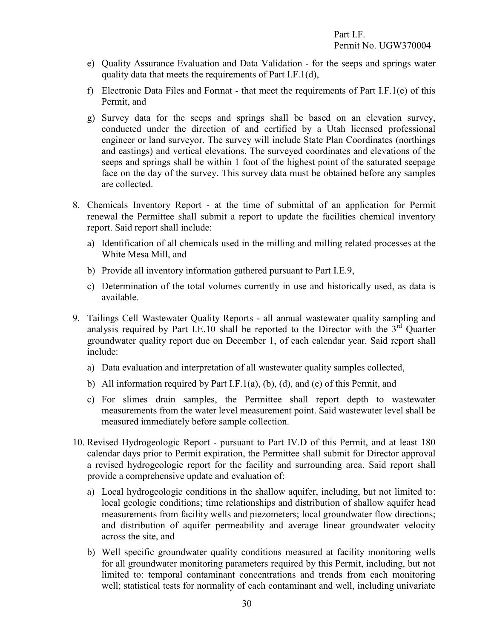- e) Quality Assurance Evaluation and Data Validation for the seeps and springs water quality data that meets the requirements of Part I.F.1(d),
- f) Electronic Data Files and Format that meet the requirements of Part I.F.1(e) of this Permit, and
- g) Survey data for the seeps and springs shall be based on an elevation survey, conducted under the direction of and certified by a Utah licensed professional engineer or land surveyor. The survey will include State Plan Coordinates (northings and eastings) and vertical elevations. The surveyed coordinates and elevations of the seeps and springs shall be within 1 foot of the highest point of the saturated seepage face on the day of the survey. This survey data must be obtained before any samples are collected.
- <span id="page-33-0"></span>8. Chemicals Inventory Report - at the time of submittal of an application for Permit renewal the Permittee shall submit a report to update the facilities chemical inventory report. Said report shall include:
	- a) Identification of all chemicals used in the milling and milling related processes at the White Mesa Mill, and
	- b) Provide all inventory information gathered pursuant to Part I.E.9,
	- c) Determination of the total volumes currently in use and historically used, as data is available.
- <span id="page-33-1"></span>9. Tailings Cell Wastewater Quality Reports - all annual wastewater quality sampling and analysis required by Part I.E.10 shall be reported to the Director with the  $3<sup>rd</sup>$  Quarter groundwater quality report due on December 1, of each calendar year. Said report shall include:
	- a) Data evaluation and interpretation of all wastewater quality samples collected,
	- b) All information required by Part I.F.1(a), (b), (d), and (e) of this Permit, and
	- c) For slimes drain samples, the Permittee shall report depth to wastewater measurements from the water level measurement point. Said wastewater level shall be measured immediately before sample collection.
- <span id="page-33-2"></span>10. Revised Hydrogeologic Report - pursuant to Part IV.D of this Permit, and at least 180 calendar days prior to Permit expiration, the Permittee shall submit for Director approval a revised hydrogeologic report for the facility and surrounding area. Said report shall provide a comprehensive update and evaluation of:
	- a) Local hydrogeologic conditions in the shallow aquifer, including, but not limited to: local geologic conditions; time relationships and distribution of shallow aquifer head measurements from facility wells and piezometers; local groundwater flow directions; and distribution of aquifer permeability and average linear groundwater velocity across the site, and
	- b) Well specific groundwater quality conditions measured at facility monitoring wells for all groundwater monitoring parameters required by this Permit, including, but not limited to: temporal contaminant concentrations and trends from each monitoring well; statistical tests for normality of each contaminant and well, including univariate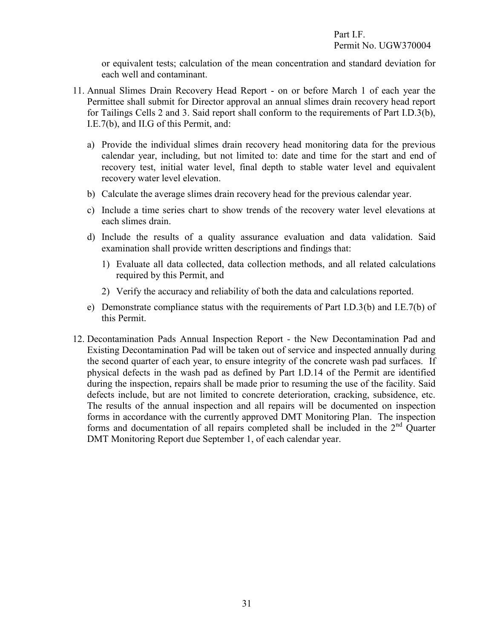<span id="page-34-0"></span>or equivalent tests; calculation of the mean concentration and standard deviation for each well and contaminant.

- 11. Annual Slimes Drain Recovery Head Report on or before March 1 of each year the Permittee shall submit for Director approval an annual slimes drain recovery head report for Tailings Cells 2 and 3. Said report shall conform to the requirements of Part I.D.3(b), I.E.7(b), and II.G of this Permit, and:
	- a) Provide the individual slimes drain recovery head monitoring data for the previous calendar year, including, but not limited to: date and time for the start and end of recovery test, initial water level, final depth to stable water level and equivalent recovery water level elevation.
	- b) Calculate the average slimes drain recovery head for the previous calendar year.
	- c) Include a time series chart to show trends of the recovery water level elevations at each slimes drain.
	- d) Include the results of a quality assurance evaluation and data validation. Said examination shall provide written descriptions and findings that:
		- 1) Evaluate all data collected, data collection methods, and all related calculations required by this Permit, and
		- 2) Verify the accuracy and reliability of both the data and calculations reported.
	- e) Demonstrate compliance status with the requirements of Part I.D.3(b) and I.E.7(b) of this Permit.
- <span id="page-34-1"></span>12. Decontamination Pads Annual Inspection Report - the New Decontamination Pad and Existing Decontamination Pad will be taken out of service and inspected annually during the second quarter of each year, to ensure integrity of the concrete wash pad surfaces. If physical defects in the wash pad as defined by Part I.D.14 of the Permit are identified during the inspection, repairs shall be made prior to resuming the use of the facility. Said defects include, but are not limited to concrete deterioration, cracking, subsidence, etc. The results of the annual inspection and all repairs will be documented on inspection forms in accordance with the currently approved DMT Monitoring Plan. The inspection forms and documentation of all repairs completed shall be included in the 2nd Quarter DMT Monitoring Report due September 1, of each calendar year.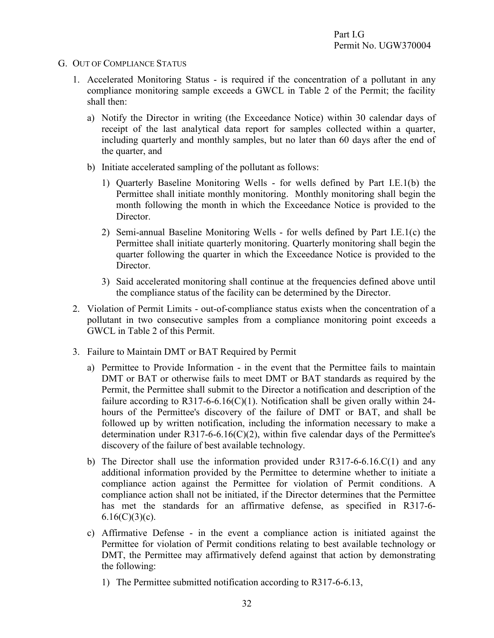#### G. OUT OF COMPLIANCE STATUS

- <span id="page-35-1"></span><span id="page-35-0"></span>1. Accelerated Monitoring Status - is required if the concentration of a pollutant in any compliance monitoring sample exceeds a GWCL in Table 2 of the Permit; the facility shall then:
	- a) Notify the Director in writing (the Exceedance Notice) within 30 calendar days of receipt of the last analytical data report for samples collected within a quarter, including quarterly and monthly samples, but no later than 60 days after the end of the quarter, and
	- b) Initiate accelerated sampling of the pollutant as follows:
		- 1) Quarterly Baseline Monitoring Wells for wells defined by Part I.E.1(b) the Permittee shall initiate monthly monitoring. Monthly monitoring shall begin the month following the month in which the Exceedance Notice is provided to the Director.
		- 2) Semi-annual Baseline Monitoring Wells for wells defined by Part I.E.1(c) the Permittee shall initiate quarterly monitoring. Quarterly monitoring shall begin the quarter following the quarter in which the Exceedance Notice is provided to the Director.
		- 3) Said accelerated monitoring shall continue at the frequencies defined above until the compliance status of the facility can be determined by the Director.
- <span id="page-35-2"></span>2. Violation of Permit Limits - out-of-compliance status exists when the concentration of a pollutant in two consecutive samples from a compliance monitoring point exceeds a GWCL in Table 2 of this Permit.
- <span id="page-35-3"></span>3. Failure to Maintain DMT or BAT Required by Permit
	- a) Permittee to Provide Information in the event that the Permittee fails to maintain DMT or BAT or otherwise fails to meet DMT or BAT standards as required by the Permit, the Permittee shall submit to the Director a notification and description of the failure according to R317-6-6.16(C)(1). Notification shall be given orally within 24hours of the Permittee's discovery of the failure of DMT or BAT, and shall be followed up by written notification, including the information necessary to make a determination under R317-6-6.16(C)(2), within five calendar days of the Permittee's discovery of the failure of best available technology.
	- b) The Director shall use the information provided under R317-6-6.16.C(1) and any additional information provided by the Permittee to determine whether to initiate a compliance action against the Permittee for violation of Permit conditions. A compliance action shall not be initiated, if the Director determines that the Permittee has met the standards for an affirmative defense, as specified in R317-6-  $6.16(C)(3)(c)$ .
	- c) Affirmative Defense in the event a compliance action is initiated against the Permittee for violation of Permit conditions relating to best available technology or DMT, the Permittee may affirmatively defend against that action by demonstrating the following:
		- 1) The Permittee submitted notification according to R317-6-6.13,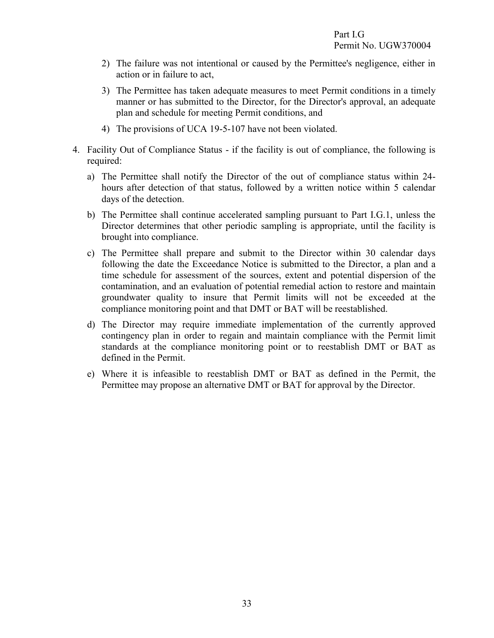- 2) The failure was not intentional or caused by the Permittee's negligence, either in action or in failure to act,
- 3) The Permittee has taken adequate measures to meet Permit conditions in a timely manner or has submitted to the Director, for the Director's approval, an adequate plan and schedule for meeting Permit conditions, and
- <span id="page-36-0"></span>4) The provisions of UCA 19-5-107 have not been violated.
- 4. Facility Out of Compliance Status if the facility is out of compliance, the following is required:
	- a) The Permittee shall notify the Director of the out of compliance status within 24 hours after detection of that status, followed by a written notice within 5 calendar days of the detection.
	- b) The Permittee shall continue accelerated sampling pursuant to Part I.G.1, unless the Director determines that other periodic sampling is appropriate, until the facility is brought into compliance.
	- c) The Permittee shall prepare and submit to the Director within 30 calendar days following the date the Exceedance Notice is submitted to the Director, a plan and a time schedule for assessment of the sources, extent and potential dispersion of the contamination, and an evaluation of potential remedial action to restore and maintain groundwater quality to insure that Permit limits will not be exceeded at the compliance monitoring point and that DMT or BAT will be reestablished.
	- d) The Director may require immediate implementation of the currently approved contingency plan in order to regain and maintain compliance with the Permit limit standards at the compliance monitoring point or to reestablish DMT or BAT as defined in the Permit.
	- e) Where it is infeasible to reestablish DMT or BAT as defined in the Permit, the Permittee may propose an alternative DMT or BAT for approval by the Director.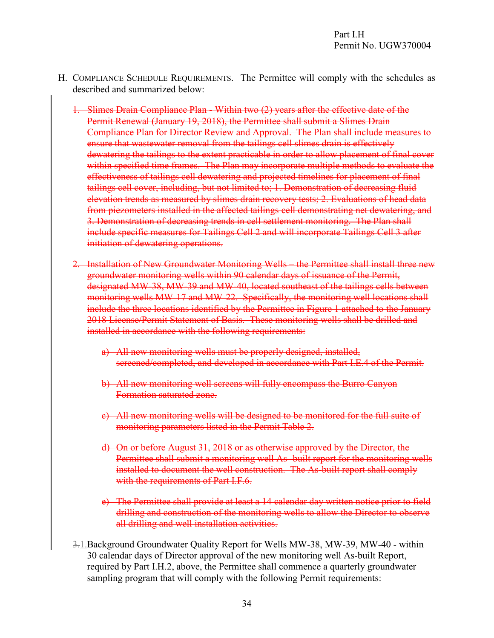- H. COMPLIANCE SCHEDULE REQUIREMENTS. The Permittee will comply with the schedules as described and summarized below:
	- 1. Slimes Drain Compliance Plan Within two (2) years after the effective date of the Permit Renewal (January 19, 2018), the Permittee shall submit a Slimes Drain Compliance Plan for Director Review and Approval. The Plan shall include measures to ensure that wastewater removal from the tailings cell slimes drain is effectively dewatering the tailings to the extent practicable in order to allow placement of final cover within specified time frames. The Plan may incorporate multiple methods to evaluate the effectiveness of tailings cell dewatering and projected timelines for placement of final tailings cell cover, including, but not limited to; 1. Demonstration of decreasing fluid elevation trends as measured by slimes drain recovery tests; 2. Evaluations of head data from piezometers installed in the affected tailings cell demonstrating net dewatering, and 3. Demonstration of decreasing trends in cell settlement monitoring. The Plan shall include specific measures for Tailings Cell 2 and will incorporate Tailings Cell 3 after initiation of dewatering operations.
	- 2. Installation of New Groundwater Monitoring Wells the Permittee shall install three new groundwater monitoring wells within 90 calendar days of issuance of the Permit, designated MW-38, MW-39 and MW-40, located southeast of the tailings cells between monitoring wells MW-17 and MW-22. Specifically, the monitoring well locations shall include the three locations identified by the Permittee in Figure 1 attached to the January 2018 License/Permit Statement of Basis. These monitoring wells shall be drilled and installed in accordance with the following requirements:
		- a) All new monitoring wells must be properly designed, installed, screened/completed, and developed in accordance with Part I.E.4 of the Permit.
		- b) All new monitoring well screens will fully encompass the Burro Canyon Formation saturated zone.
		- c) All new monitoring wells will be designed to be monitored for the full suite of monitoring parameters listed in the Permit Table 2.
		- d) On or before August 31, 2018 or as otherwise approved by the Director, the Permittee shall submit a monitoring well As- built report for the monitoring wells installed to document the well construction. The As-built report shall comply with the requirements of Part I.F.6.
		- e) The Permittee shall provide at least a 14 calendar day written notice prior to field drilling and construction of the monitoring wells to allow the Director to observe all drilling and well installation activities.
	- 3.1.Background Groundwater Quality Report for Wells MW-38, MW-39, MW-40 within 30 calendar days of Director approval of the new monitoring well As-built Report, required by Part I.H.2, above, the Permittee shall commence a quarterly groundwater sampling program that will comply with the following Permit requirements: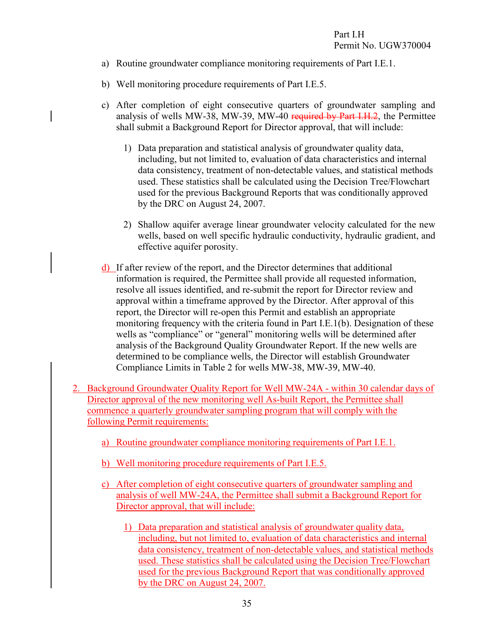- a) Routine groundwater compliance monitoring requirements of Part I.E.1.
- b) Well monitoring procedure requirements of Part I.E.5.
- c) After completion of eight consecutive quarters of groundwater sampling and analysis of wells MW-38, MW-39, MW-40 required by Part I.H.2, the Permittee shall submit a Background Report for Director approval, that will include:
	- 1) Data preparation and statistical analysis of groundwater quality data, including, but not limited to, evaluation of data characteristics and internal data consistency, treatment of non-detectable values, and statistical methods used. These statistics shall be calculated using the Decision Tree/Flowchart used for the previous Background Reports that was conditionally approved by the DRC on August 24, 2007.
	- 2) Shallow aquifer average linear groundwater velocity calculated for the new wells, based on well specific hydraulic conductivity, hydraulic gradient, and effective aquifer porosity.
- d) If after review of the report, and the Director determines that additional information is required, the Permittee shall provide all requested information, resolve all issues identified, and re-submit the report for Director review and approval within a timeframe approved by the Director. After approval of this report, the Director will re-open this Permit and establish an appropriate monitoring frequency with the criteria found in Part I.E.1(b). Designation of these wells as "compliance" or "general" monitoring wells will be determined after analysis of the Background Quality Groundwater Report. If the new wells are determined to be compliance wells, the Director will establish Groundwater Compliance Limits in Table 2 for wells MW-38, MW-39, MW-40.
- 2. Background Groundwater Quality Report for Well MW-24A within 30 calendar days of Director approval of the new monitoring well As-built Report, the Permittee shall commence a quarterly groundwater sampling program that will comply with the following Permit requirements:
	- a) Routine groundwater compliance monitoring requirements of Part I.E.1.
	- b) Well monitoring procedure requirements of Part I.E.5.
	- c) After completion of eight consecutive quarters of groundwater sampling and analysis of well MW-24A, the Permittee shall submit a Background Report for Director approval, that will include:
		- 1) Data preparation and statistical analysis of groundwater quality data, including, but not limited to, evaluation of data characteristics and internal data consistency, treatment of non-detectable values, and statistical methods used. These statistics shall be calculated using the Decision Tree/Flowchart used for the previous Background Report that was conditionally approved by the DRC on August 24, 2007.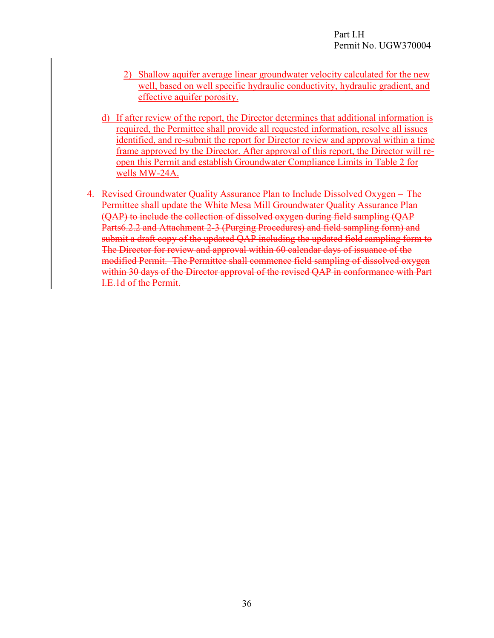- 2) Shallow aquifer average linear groundwater velocity calculated for the new well, based on well specific hydraulic conductivity, hydraulic gradient, and effective aquifer porosity.
- d) If after review of the report, the Director determines that additional information is required, the Permittee shall provide all requested information, resolve all issues identified, and re-submit the report for Director review and approval within a time frame approved by the Director. After approval of this report, the Director will reopen this Permit and establish Groundwater Compliance Limits in Table 2 for wells MW-24A.
- 4. Revised Groundwater Quality Assurance Plan to Include Dissolved Oxygen The Permittee shall update the White Mesa Mill Groundwater Quality Assurance Plan (QAP) to include the collection of dissolved oxygen during field sampling (QAP Parts6.2.2 and Attachment 2-3 (Purging Procedures) and field sampling form) and submit a draft copy of the updated QAP including the updated field sampling form to The Director for review and approval within 60 calendar days of issuance of the modified Permit. The Permittee shall commence field sampling of dissolved oxygen within 30 days of the Director approval of the revised OAP in conformance with Part I.E.1d of the Permit.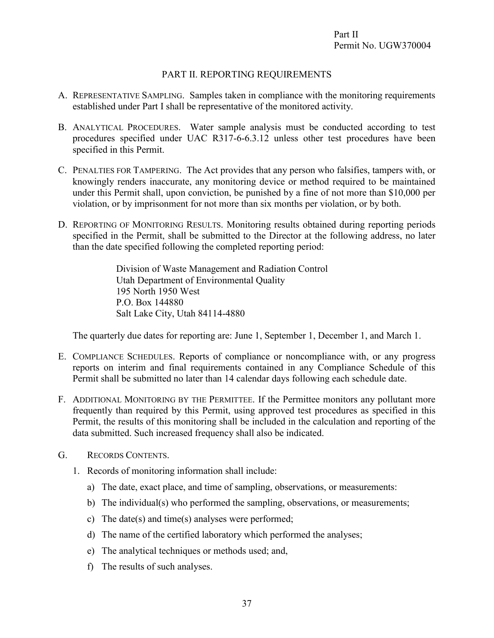#### <span id="page-40-3"></span><span id="page-40-2"></span><span id="page-40-1"></span><span id="page-40-0"></span>PART II. REPORTING REQUIREMENTS

- A. REPRESENTATIVE SAMPLING. Samples taken in compliance with the monitoring requirements established under Part I shall be representative of the monitored activity.
- B. ANALYTICAL PROCEDURES. Water sample analysis must be conducted according to test procedures specified under UAC R317-6-6.3.12 unless other test procedures have been specified in this Permit.
- C. PENALTIES FOR TAMPERING. The Act provides that any person who falsifies, tampers with, or knowingly renders inaccurate, any monitoring device or method required to be maintained under this Permit shall, upon conviction, be punished by a fine of not more than \$10,000 per violation, or by imprisonment for not more than six months per violation, or by both.
- D. REPORTING OF MONITORING RESULTS. Monitoring results obtained during reporting periods specified in the Permit, shall be submitted to the Director at the following address, no later than the date specified following the completed reporting period:

<span id="page-40-6"></span><span id="page-40-5"></span><span id="page-40-4"></span>Division of Waste Management and Radiation Control Utah Department of Environmental Quality 195 North 1950 West P.O. Box 144880 Salt Lake City, Utah 84114-4880

The quarterly due dates for reporting are: June 1, September 1, December 1, and March 1.

- E. COMPLIANCE SCHEDULES. Reports of compliance or noncompliance with, or any progress reports on interim and final requirements contained in any Compliance Schedule of this Permit shall be submitted no later than 14 calendar days following each schedule date.
- F. ADDITIONAL MONITORING BY THE PERMITTEE. If the Permittee monitors any pollutant more frequently than required by this Permit, using approved test procedures as specified in this Permit, the results of this monitoring shall be included in the calculation and reporting of the data submitted. Such increased frequency shall also be indicated.
- <span id="page-40-7"></span>G. RECORDS CONTENTS.
	- 1. Records of monitoring information shall include:
		- a) The date, exact place, and time of sampling, observations, or measurements:
		- b) The individual(s) who performed the sampling, observations, or measurements;
		- c) The date(s) and time(s) analyses were performed;
		- d) The name of the certified laboratory which performed the analyses;
		- e) The analytical techniques or methods used; and,
		- f) The results of such analyses.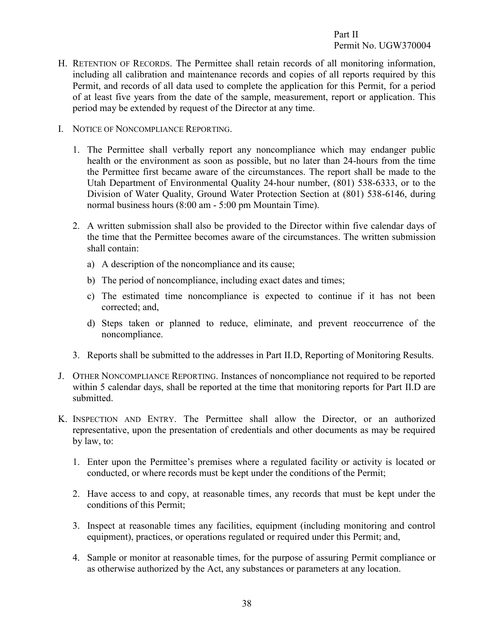- <span id="page-41-0"></span>H. RETENTION OF RECORDS. The Permittee shall retain records of all monitoring information, including all calibration and maintenance records and copies of all reports required by this Permit, and records of all data used to complete the application for this Permit, for a period of at least five years from the date of the sample, measurement, report or application. This period may be extended by request of the Director at any time.
- <span id="page-41-1"></span>I. NOTICE OF NONCOMPLIANCE REPORTING.
	- 1. The Permittee shall verbally report any noncompliance which may endanger public health or the environment as soon as possible, but no later than 24-hours from the time the Permittee first became aware of the circumstances. The report shall be made to the Utah Department of Environmental Quality 24-hour number, (801) 538-6333, or to the Division of Water Quality, Ground Water Protection Section at (801) 538-6146, during normal business hours (8:00 am - 5:00 pm Mountain Time).
	- 2. A written submission shall also be provided to the Director within five calendar days of the time that the Permittee becomes aware of the circumstances. The written submission shall contain:
		- a) A description of the noncompliance and its cause;
		- b) The period of noncompliance, including exact dates and times;
		- c) The estimated time noncompliance is expected to continue if it has not been corrected; and,
		- d) Steps taken or planned to reduce, eliminate, and prevent reoccurrence of the noncompliance.
	- 3. Reports shall be submitted to the addresses in Part II.D, Reporting of Monitoring Results.
- <span id="page-41-2"></span>J. OTHER NONCOMPLIANCE REPORTING. Instances of noncompliance not required to be reported within 5 calendar days, shall be reported at the time that monitoring reports for Part II.D are submitted.
- <span id="page-41-3"></span>K. INSPECTION AND ENTRY. The Permittee shall allow the Director, or an authorized representative, upon the presentation of credentials and other documents as may be required by law, to:
	- 1. Enter upon the Permittee's premises where a regulated facility or activity is located or conducted, or where records must be kept under the conditions of the Permit;
	- 2. Have access to and copy, at reasonable times, any records that must be kept under the conditions of this Permit;
	- 3. Inspect at reasonable times any facilities, equipment (including monitoring and control equipment), practices, or operations regulated or required under this Permit; and,
	- 4. Sample or monitor at reasonable times, for the purpose of assuring Permit compliance or as otherwise authorized by the Act, any substances or parameters at any location.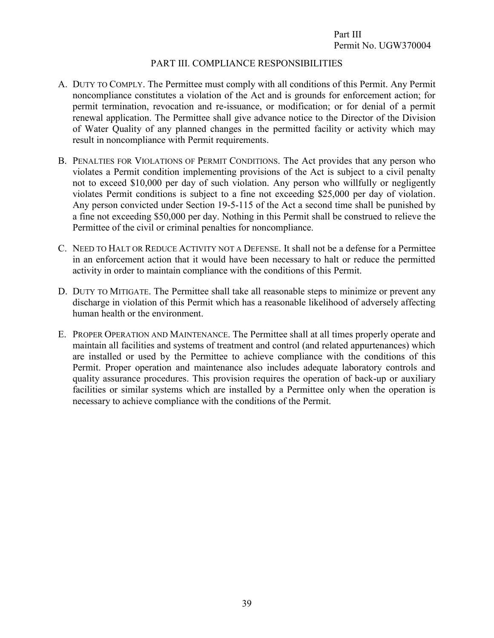#### <span id="page-42-3"></span><span id="page-42-2"></span><span id="page-42-1"></span><span id="page-42-0"></span>PART III. COMPLIANCE RESPONSIBILITIES

- A. DUTY TO COMPLY. The Permittee must comply with all conditions of this Permit. Any Permit noncompliance constitutes a violation of the Act and is grounds for enforcement action; for permit termination, revocation and re-issuance, or modification; or for denial of a permit renewal application. The Permittee shall give advance notice to the Director of the Division of Water Quality of any planned changes in the permitted facility or activity which may result in noncompliance with Permit requirements.
- B. PENALTIES FOR VIOLATIONS OF PERMIT CONDITIONS. The Act provides that any person who violates a Permit condition implementing provisions of the Act is subject to a civil penalty not to exceed \$10,000 per day of such violation. Any person who willfully or negligently violates Permit conditions is subject to a fine not exceeding \$25,000 per day of violation. Any person convicted under Section 19-5-115 of the Act a second time shall be punished by a fine not exceeding \$50,000 per day. Nothing in this Permit shall be construed to relieve the Permittee of the civil or criminal penalties for noncompliance.
- C. NEED TO HALT OR REDUCE ACTIVITY NOT A DEFENSE. It shall not be a defense for a Permittee in an enforcement action that it would have been necessary to halt or reduce the permitted activity in order to maintain compliance with the conditions of this Permit.
- <span id="page-42-4"></span>D. DUTY TO MITIGATE. The Permittee shall take all reasonable steps to minimize or prevent any discharge in violation of this Permit which has a reasonable likelihood of adversely affecting human health or the environment.
- <span id="page-42-5"></span>E. PROPER OPERATION AND MAINTENANCE. The Permittee shall at all times properly operate and maintain all facilities and systems of treatment and control (and related appurtenances) which are installed or used by the Permittee to achieve compliance with the conditions of this Permit. Proper operation and maintenance also includes adequate laboratory controls and quality assurance procedures. This provision requires the operation of back-up or auxiliary facilities or similar systems which are installed by a Permittee only when the operation is necessary to achieve compliance with the conditions of the Permit.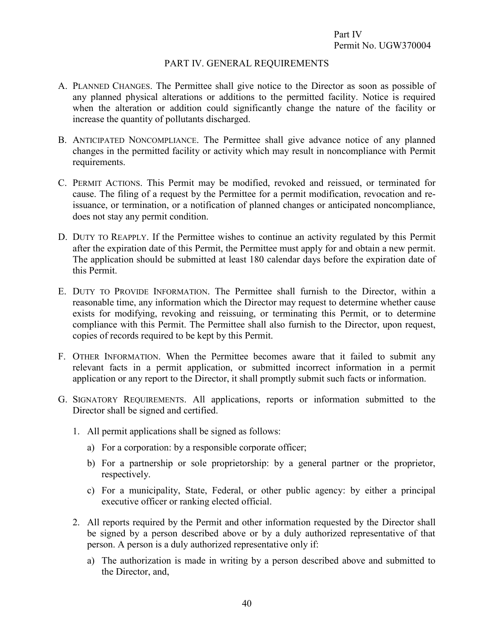#### <span id="page-43-2"></span><span id="page-43-1"></span><span id="page-43-0"></span>PART IV. GENERAL REQUIREMENTS

- A. PLANNED CHANGES. The Permittee shall give notice to the Director as soon as possible of any planned physical alterations or additions to the permitted facility. Notice is required when the alteration or addition could significantly change the nature of the facility or increase the quantity of pollutants discharged.
- B. ANTICIPATED NONCOMPLIANCE. The Permittee shall give advance notice of any planned changes in the permitted facility or activity which may result in noncompliance with Permit requirements.
- <span id="page-43-3"></span>C. PERMIT ACTIONS. This Permit may be modified, revoked and reissued, or terminated for cause. The filing of a request by the Permittee for a permit modification, revocation and reissuance, or termination, or a notification of planned changes or anticipated noncompliance, does not stay any permit condition.
- <span id="page-43-4"></span>D. DUTY TO REAPPLY. If the Permittee wishes to continue an activity regulated by this Permit after the expiration date of this Permit, the Permittee must apply for and obtain a new permit. The application should be submitted at least 180 calendar days before the expiration date of this Permit.
- <span id="page-43-5"></span>E. DUTY TO PROVIDE INFORMATION. The Permittee shall furnish to the Director, within a reasonable time, any information which the Director may request to determine whether cause exists for modifying, revoking and reissuing, or terminating this Permit, or to determine compliance with this Permit. The Permittee shall also furnish to the Director, upon request, copies of records required to be kept by this Permit.
- <span id="page-43-6"></span>F. OTHER INFORMATION. When the Permittee becomes aware that it failed to submit any relevant facts in a permit application, or submitted incorrect information in a permit application or any report to the Director, it shall promptly submit such facts or information.
- <span id="page-43-7"></span>G. SIGNATORY REQUIREMENTS. All applications, reports or information submitted to the Director shall be signed and certified.
	- 1. All permit applications shall be signed as follows:
		- a) For a corporation: by a responsible corporate officer;
		- b) For a partnership or sole proprietorship: by a general partner or the proprietor, respectively.
		- c) For a municipality, State, Federal, or other public agency: by either a principal executive officer or ranking elected official.
	- 2. All reports required by the Permit and other information requested by the Director shall be signed by a person described above or by a duly authorized representative of that person. A person is a duly authorized representative only if:
		- a) The authorization is made in writing by a person described above and submitted to the Director, and,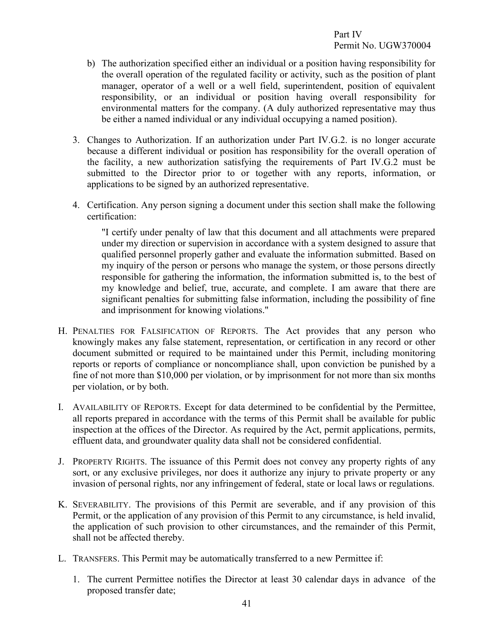- b) The authorization specified either an individual or a position having responsibility for the overall operation of the regulated facility or activity, such as the position of plant manager, operator of a well or a well field, superintendent, position of equivalent responsibility, or an individual or position having overall responsibility for environmental matters for the company. (A duly authorized representative may thus be either a named individual or any individual occupying a named position).
- 3. Changes to Authorization. If an authorization under Part IV.G.2. is no longer accurate because a different individual or position has responsibility for the overall operation of the facility, a new authorization satisfying the requirements of Part IV.G.2 must be submitted to the Director prior to or together with any reports, information, or applications to be signed by an authorized representative.
- 4. Certification. Any person signing a document under this section shall make the following certification:

<span id="page-44-0"></span>"I certify under penalty of law that this document and all attachments were prepared under my direction or supervision in accordance with a system designed to assure that qualified personnel properly gather and evaluate the information submitted. Based on my inquiry of the person or persons who manage the system, or those persons directly responsible for gathering the information, the information submitted is, to the best of my knowledge and belief, true, accurate, and complete. I am aware that there are significant penalties for submitting false information, including the possibility of fine and imprisonment for knowing violations."

- H. PENALTIES FOR FALSIFICATION OF REPORTS. The Act provides that any person who knowingly makes any false statement, representation, or certification in any record or other document submitted or required to be maintained under this Permit, including monitoring reports or reports of compliance or noncompliance shall, upon conviction be punished by a fine of not more than \$10,000 per violation, or by imprisonment for not more than six months per violation, or by both.
- <span id="page-44-1"></span>I. AVAILABILITY OF REPORTS. Except for data determined to be confidential by the Permittee, all reports prepared in accordance with the terms of this Permit shall be available for public inspection at the offices of the Director. As required by the Act, permit applications, permits, effluent data, and groundwater quality data shall not be considered confidential.
- <span id="page-44-2"></span>J. PROPERTY RIGHTS. The issuance of this Permit does not convey any property rights of any sort, or any exclusive privileges, nor does it authorize any injury to private property or any invasion of personal rights, nor any infringement of federal, state or local laws or regulations.
- <span id="page-44-3"></span>K. SEVERABILITY. The provisions of this Permit are severable, and if any provision of this Permit, or the application of any provision of this Permit to any circumstance, is held invalid, the application of such provision to other circumstances, and the remainder of this Permit, shall not be affected thereby.
- <span id="page-44-4"></span>L. TRANSFERS. This Permit may be automatically transferred to a new Permittee if:
	- 1. The current Permittee notifies the Director at least 30 calendar days in advance of the proposed transfer date;